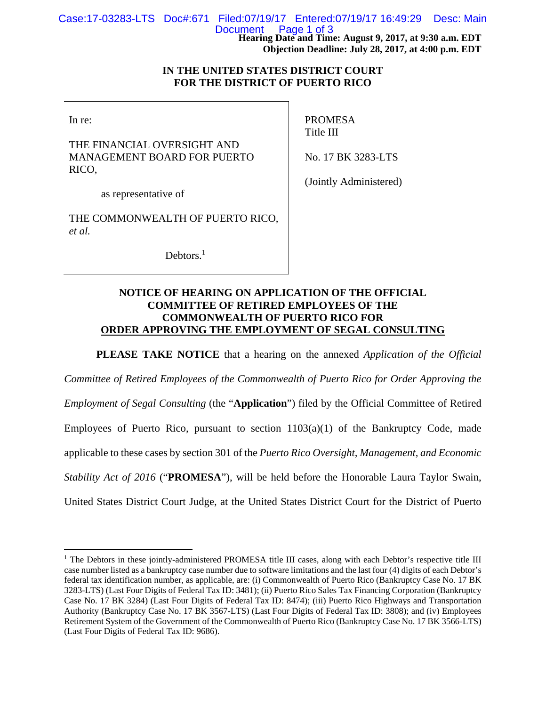**Hearing Date and Time: August 9, 2017, at 9:30 a.m. EDT**  Case:17-03283-LTS Doc#:671 Filed:07/19/17 Entered:07/19/17 16:49:29 Desc: Main Page 1 of 3

**Objection Deadline: July 28, 2017, at 4:00 p.m. EDT** 

## **IN THE UNITED STATES DISTRICT COURT FOR THE DISTRICT OF PUERTO RICO**

In re:

 $\overline{a}$ 

THE FINANCIAL OVERSIGHT AND MANAGEMENT BOARD FOR PUERTO RICO,

PROMESA Title III

No. 17 BK 3283-LTS

as representative of

THE COMMONWEALTH OF PUERTO RICO, *et al.*

Debtors.<sup>1</sup>

(Jointly Administered)

# **NOTICE OF HEARING ON APPLICATION OF THE OFFICIAL COMMITTEE OF RETIRED EMPLOYEES OF THE COMMONWEALTH OF PUERTO RICO FOR ORDER APPROVING THE EMPLOYMENT OF SEGAL CONSULTING**

**PLEASE TAKE NOTICE** that a hearing on the annexed *Application of the Official* 

*Committee of Retired Employees of the Commonwealth of Puerto Rico for Order Approving the* 

*Employment of Segal Consulting* (the "**Application**") filed by the Official Committee of Retired Employees of Puerto Rico, pursuant to section  $1103(a)(1)$  of the Bankruptcy Code, made applicable to these cases by section 301 of the *Puerto Rico Oversight, Management, and Economic Stability Act of 2016* ("**PROMESA**"), will be held before the Honorable Laura Taylor Swain, United States District Court Judge, at the United States District Court for the District of Puerto

<sup>&</sup>lt;sup>1</sup> The Debtors in these jointly-administered PROMESA title III cases, along with each Debtor's respective title III case number listed as a bankruptcy case number due to software limitations and the last four (4) digits of each Debtor's federal tax identification number, as applicable, are: (i) Commonwealth of Puerto Rico (Bankruptcy Case No. 17 BK 3283-LTS) (Last Four Digits of Federal Tax ID: 3481); (ii) Puerto Rico Sales Tax Financing Corporation (Bankruptcy Case No. 17 BK 3284) (Last Four Digits of Federal Tax ID: 8474); (iii) Puerto Rico Highways and Transportation Authority (Bankruptcy Case No. 17 BK 3567-LTS) (Last Four Digits of Federal Tax ID: 3808); and (iv) Employees Retirement System of the Government of the Commonwealth of Puerto Rico (Bankruptcy Case No. 17 BK 3566-LTS) (Last Four Digits of Federal Tax ID: 9686).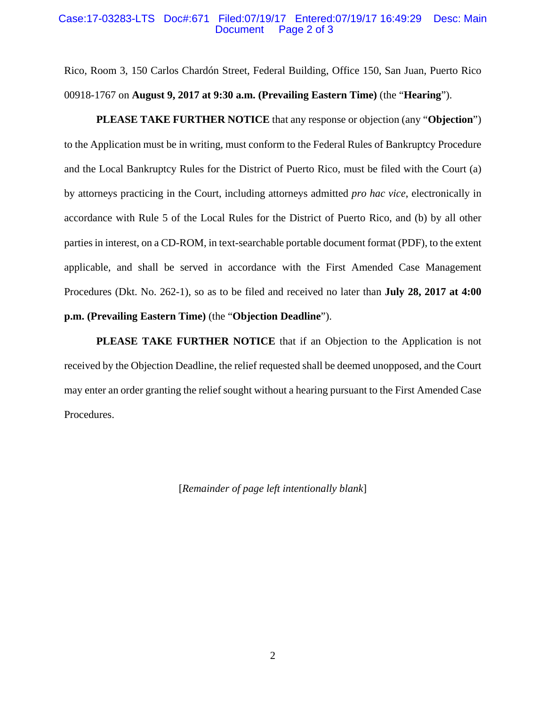#### Case:17-03283-LTS Doc#:671 Filed:07/19/17 Entered:07/19/17 16:49:29 Desc: Main Page 2 of 3

Rico, Room 3, 150 Carlos Chardón Street, Federal Building, Office 150, San Juan, Puerto Rico 00918-1767 on **August 9, 2017 at 9:30 a.m. (Prevailing Eastern Time)** (the "**Hearing**").

**PLEASE TAKE FURTHER NOTICE** that any response or objection (any "**Objection**") to the Application must be in writing, must conform to the Federal Rules of Bankruptcy Procedure and the Local Bankruptcy Rules for the District of Puerto Rico, must be filed with the Court (a) by attorneys practicing in the Court, including attorneys admitted *pro hac vice*, electronically in accordance with Rule 5 of the Local Rules for the District of Puerto Rico, and (b) by all other parties in interest, on a CD-ROM, in text-searchable portable document format (PDF), to the extent applicable, and shall be served in accordance with the First Amended Case Management Procedures (Dkt. No. 262-1), so as to be filed and received no later than **July 28, 2017 at 4:00 p.m. (Prevailing Eastern Time)** (the "**Objection Deadline**").

PLEASE TAKE FURTHER NOTICE that if an Objection to the Application is not received by the Objection Deadline, the relief requested shall be deemed unopposed, and the Court may enter an order granting the relief sought without a hearing pursuant to the First Amended Case Procedures.

[*Remainder of page left intentionally blank*]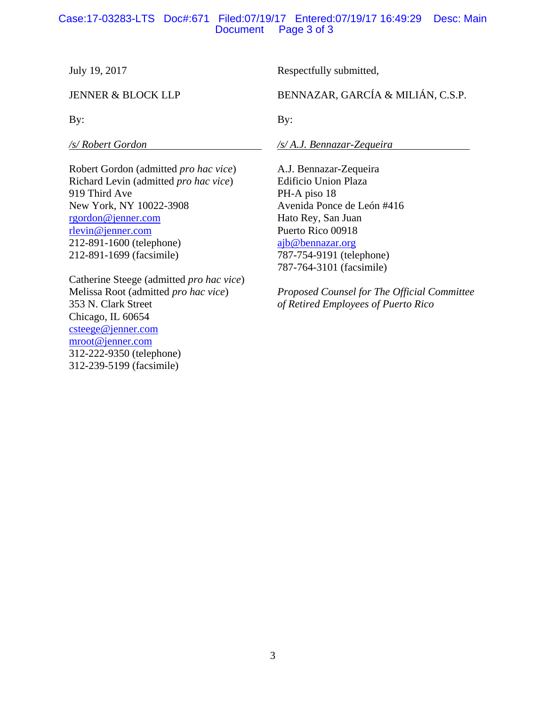# Case:17-03283-LTS Doc#:671 Filed:07/19/17 Entered:07/19/17 16:49:29 Desc: Main Page 3 of 3

July 19, 2017

JENNER & BLOCK LLP

By:

*/s/ Robert Gordon* 

Robert Gordon (admitted *pro hac vice*) Richard Levin (admitted *pro hac vice*) 919 Third Ave New York, NY 10022-3908 rgordon@jenner.com rlevin@jenner.com 212-891-1600 (telephone) 212-891-1699 (facsimile)

Catherine Steege (admitted *pro hac vice*) Melissa Root (admitted *pro hac vice*) 353 N. Clark Street Chicago, IL 60654 csteege@jenner.com mroot@jenner.com 312-222-9350 (telephone) 312-239-5199 (facsimile)

Respectfully submitted,

BENNAZAR, GARCÍA & MILIÁN, C.S.P.

By:

*/s/ A.J. Bennazar-Zequeira* 

A.J. Bennazar-Zequeira Edificio Union Plaza PH-A piso 18 Avenida Ponce de León #416 Hato Rey, San Juan Puerto Rico 00918 ajb@bennazar.org 787-754-9191 (telephone) 787-764-3101 (facsimile)

*Proposed Counsel for The Official Committee of Retired Employees of Puerto Rico*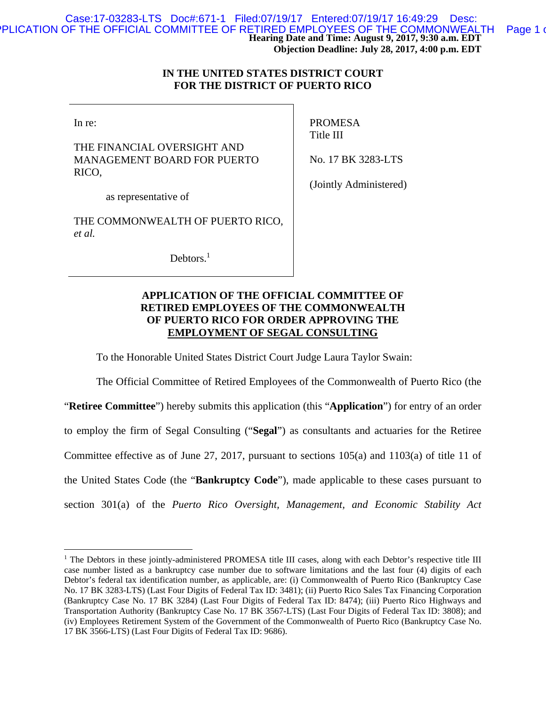## **IN THE UNITED STATES DISTRICT COURT FOR THE DISTRICT OF PUERTO RICO**

In re:

 $\overline{a}$ 

THE FINANCIAL OVERSIGHT AND MANAGEMENT BOARD FOR PUERTO RICO,

PROMESA Title III

No. 17 BK 3283-LTS

(Jointly Administered)

as representative of

THE COMMONWEALTH OF PUERTO RICO, *et al.*

Debtors.<sup>1</sup>

# **APPLICATION OF THE OFFICIAL COMMITTEE OF RETIRED EMPLOYEES OF THE COMMONWEALTH OF PUERTO RICO FOR ORDER APPROVING THE EMPLOYMENT OF SEGAL CONSULTING**

To the Honorable United States District Court Judge Laura Taylor Swain:

The Official Committee of Retired Employees of the Commonwealth of Puerto Rico (the "**Retiree Committee**") hereby submits this application (this "**Application**") for entry of an order to employ the firm of Segal Consulting ("**Segal**") as consultants and actuaries for the Retiree Committee effective as of June 27, 2017, pursuant to sections 105(a) and 1103(a) of title 11 of the United States Code (the "**Bankruptcy Code**"), made applicable to these cases pursuant to section 301(a) of the *Puerto Rico Oversight, Management, and Economic Stability Act* 

<sup>&</sup>lt;sup>1</sup> The Debtors in these jointly-administered PROMESA title III cases, along with each Debtor's respective title III case number listed as a bankruptcy case number due to software limitations and the last four (4) digits of each Debtor's federal tax identification number, as applicable, are: (i) Commonwealth of Puerto Rico (Bankruptcy Case No. 17 BK 3283-LTS) (Last Four Digits of Federal Tax ID: 3481); (ii) Puerto Rico Sales Tax Financing Corporation (Bankruptcy Case No. 17 BK 3284) (Last Four Digits of Federal Tax ID: 8474); (iii) Puerto Rico Highways and Transportation Authority (Bankruptcy Case No. 17 BK 3567-LTS) (Last Four Digits of Federal Tax ID: 3808); and (iv) Employees Retirement System of the Government of the Commonwealth of Puerto Rico (Bankruptcy Case No. 17 BK 3566-LTS) (Last Four Digits of Federal Tax ID: 9686).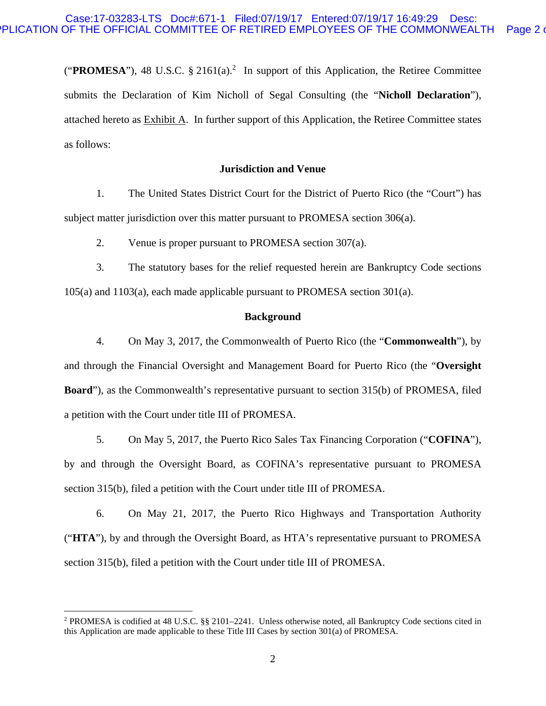("**PROMESA**"), 48 U.S.C.  $\S$  2161(a).<sup>2</sup> In support of this Application, the Retiree Committee submits the Declaration of Kim Nicholl of Segal Consulting (the "**Nicholl Declaration**"), attached hereto as Exhibit A. In further support of this Application, the Retiree Committee states as follows:

### **Jurisdiction and Venue**

1. The United States District Court for the District of Puerto Rico (the "Court") has subject matter jurisdiction over this matter pursuant to PROMESA section 306(a).

2. Venue is proper pursuant to PROMESA section 307(a).

3. The statutory bases for the relief requested herein are Bankruptcy Code sections 105(a) and 1103(a), each made applicable pursuant to PROMESA section 301(a).

### **Background**

4. On May 3, 2017, the Commonwealth of Puerto Rico (the "**Commonwealth**"), by and through the Financial Oversight and Management Board for Puerto Rico (the "**Oversight Board**"), as the Commonwealth's representative pursuant to section 315(b) of PROMESA, filed a petition with the Court under title III of PROMESA.

5. On May 5, 2017, the Puerto Rico Sales Tax Financing Corporation ("**COFINA**"), by and through the Oversight Board, as COFINA's representative pursuant to PROMESA section 315(b), filed a petition with the Court under title III of PROMESA.

6. On May 21, 2017, the Puerto Rico Highways and Transportation Authority ("**HTA**"), by and through the Oversight Board, as HTA's representative pursuant to PROMESA section 315(b), filed a petition with the Court under title III of PROMESA.

 $\overline{a}$ 

<sup>&</sup>lt;sup>2</sup> PROMESA is codified at 48 U.S.C. §§ 2101–2241. Unless otherwise noted, all Bankruptcy Code sections cited in this Application are made applicable to these Title III Cases by section 301(a) of PROMESA.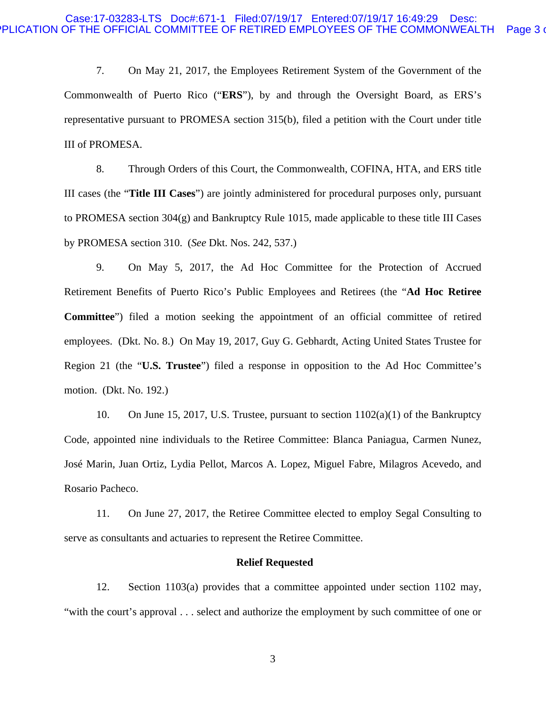7. On May 21, 2017, the Employees Retirement System of the Government of the Commonwealth of Puerto Rico ("**ERS**"), by and through the Oversight Board, as ERS's representative pursuant to PROMESA section 315(b), filed a petition with the Court under title III of PROMESA.

8. Through Orders of this Court, the Commonwealth, COFINA, HTA, and ERS title III cases (the "**Title III Cases**") are jointly administered for procedural purposes only, pursuant to PROMESA section 304(g) and Bankruptcy Rule 1015, made applicable to these title III Cases by PROMESA section 310. (*See* Dkt. Nos. 242, 537.)

9. On May 5, 2017, the Ad Hoc Committee for the Protection of Accrued Retirement Benefits of Puerto Rico's Public Employees and Retirees (the "**Ad Hoc Retiree Committee**") filed a motion seeking the appointment of an official committee of retired employees. (Dkt. No. 8.) On May 19, 2017, Guy G. Gebhardt, Acting United States Trustee for Region 21 (the "**U.S. Trustee**") filed a response in opposition to the Ad Hoc Committee's motion. (Dkt. No. 192.)

10. On June 15, 2017, U.S. Trustee, pursuant to section  $1102(a)(1)$  of the Bankruptcy Code, appointed nine individuals to the Retiree Committee: Blanca Paniagua, Carmen Nunez, José Marin, Juan Ortiz, Lydia Pellot, Marcos A. Lopez, Miguel Fabre, Milagros Acevedo, and Rosario Pacheco.

11. On June 27, 2017, the Retiree Committee elected to employ Segal Consulting to serve as consultants and actuaries to represent the Retiree Committee.

#### **Relief Requested**

12. Section 1103(a) provides that a committee appointed under section 1102 may, "with the court's approval . . . select and authorize the employment by such committee of one or

3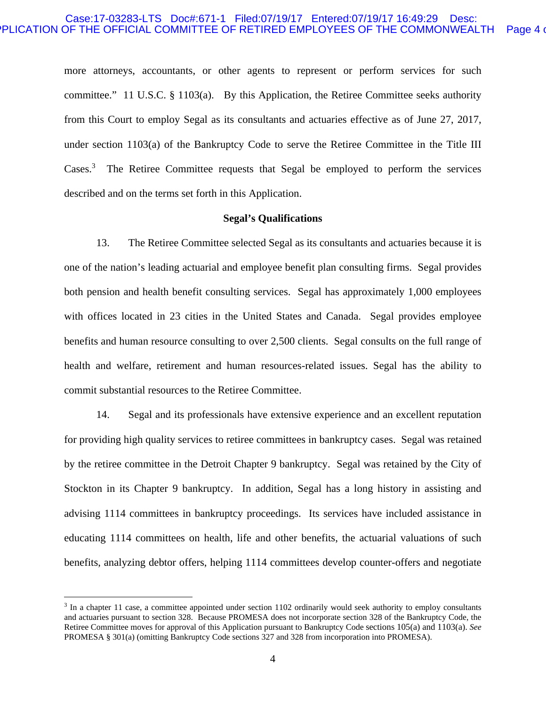### Case:17-03283-LTS Doc#:671-1 Filed:07/19/17 Entered:07/19/17 16:49:29 Desc: PLICATION OF THE OFFICIAL COMMITTEE OF RETIRED EMPLOYEES OF THE COMMONWEALTH Page 4 of

more attorneys, accountants, or other agents to represent or perform services for such committee." 11 U.S.C. § 1103(a). By this Application, the Retiree Committee seeks authority from this Court to employ Segal as its consultants and actuaries effective as of June 27, 2017, under section 1103(a) of the Bankruptcy Code to serve the Retiree Committee in the Title III Cases.<sup>3</sup> The Retiree Committee requests that Segal be employed to perform the services described and on the terms set forth in this Application.

#### **Segal's Qualifications**

13. The Retiree Committee selected Segal as its consultants and actuaries because it is one of the nation's leading actuarial and employee benefit plan consulting firms. Segal provides both pension and health benefit consulting services. Segal has approximately 1,000 employees with offices located in 23 cities in the United States and Canada. Segal provides employee benefits and human resource consulting to over 2,500 clients. Segal consults on the full range of health and welfare, retirement and human resources-related issues. Segal has the ability to commit substantial resources to the Retiree Committee.

14. Segal and its professionals have extensive experience and an excellent reputation for providing high quality services to retiree committees in bankruptcy cases. Segal was retained by the retiree committee in the Detroit Chapter 9 bankruptcy. Segal was retained by the City of Stockton in its Chapter 9 bankruptcy. In addition, Segal has a long history in assisting and advising 1114 committees in bankruptcy proceedings. Its services have included assistance in educating 1114 committees on health, life and other benefits, the actuarial valuations of such benefits, analyzing debtor offers, helping 1114 committees develop counter-offers and negotiate

 $\overline{a}$ 

<sup>&</sup>lt;sup>3</sup> In a chapter 11 case, a committee appointed under section 1102 ordinarily would seek authority to employ consultants and actuaries pursuant to section 328. Because PROMESA does not incorporate section 328 of the Bankruptcy Code, the Retiree Committee moves for approval of this Application pursuant to Bankruptcy Code sections 105(a) and 1103(a). *See* PROMESA § 301(a) (omitting Bankruptcy Code sections 327 and 328 from incorporation into PROMESA).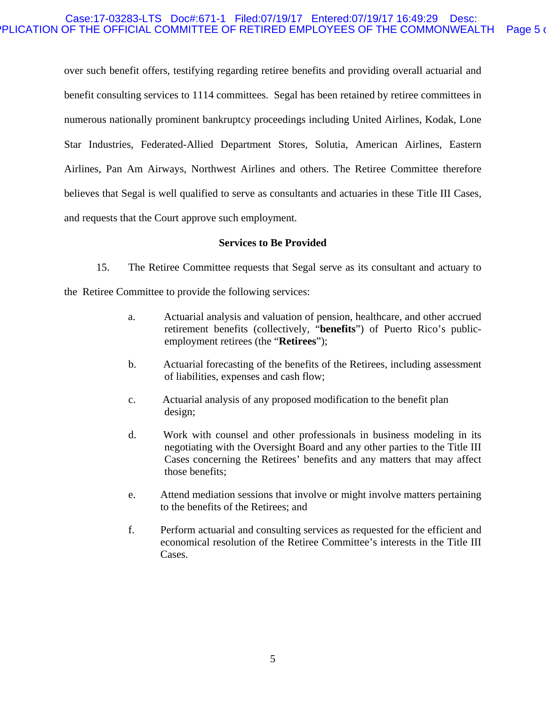## Case:17-03283-LTS Doc#:671-1 Filed:07/19/17 Entered:07/19/17 16:49:29 Desc: PLICATION OF THE OFFICIAL COMMITTEE OF RETIRED EMPLOYEES OF THE COMMONWEALTH Page 5 or

over such benefit offers, testifying regarding retiree benefits and providing overall actuarial and benefit consulting services to 1114 committees. Segal has been retained by retiree committees in numerous nationally prominent bankruptcy proceedings including United Airlines, Kodak, Lone Star Industries, Federated-Allied Department Stores, Solutia, American Airlines, Eastern Airlines, Pan Am Airways, Northwest Airlines and others. The Retiree Committee therefore believes that Segal is well qualified to serve as consultants and actuaries in these Title III Cases, and requests that the Court approve such employment.

## **Services to Be Provided**

15. The Retiree Committee requests that Segal serve as its consultant and actuary to

the Retiree Committee to provide the following services:

- a. Actuarial analysis and valuation of pension, healthcare, and other accrued retirement benefits (collectively, "**benefits**") of Puerto Rico's publicemployment retirees (the "**Retirees**");
- b. Actuarial forecasting of the benefits of the Retirees, including assessment of liabilities, expenses and cash flow;
- c. Actuarial analysis of any proposed modification to the benefit plan design;
- d. Work with counsel and other professionals in business modeling in its negotiating with the Oversight Board and any other parties to the Title III Cases concerning the Retirees' benefits and any matters that may affect those benefits;
- e. Attend mediation sessions that involve or might involve matters pertaining to the benefits of the Retirees; and
- f. Perform actuarial and consulting services as requested for the efficient and economical resolution of the Retiree Committee's interests in the Title III Cases.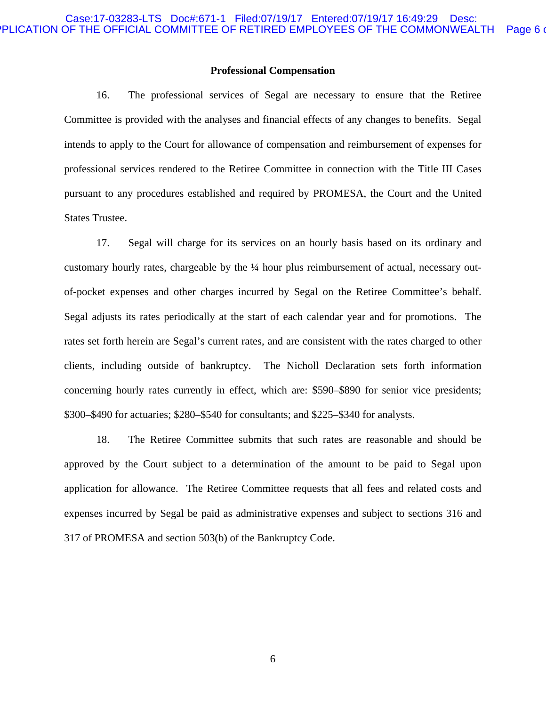#### **Professional Compensation**

16. The professional services of Segal are necessary to ensure that the Retiree Committee is provided with the analyses and financial effects of any changes to benefits. Segal intends to apply to the Court for allowance of compensation and reimbursement of expenses for professional services rendered to the Retiree Committee in connection with the Title III Cases pursuant to any procedures established and required by PROMESA, the Court and the United States Trustee.

17. Segal will charge for its services on an hourly basis based on its ordinary and customary hourly rates, chargeable by the ¼ hour plus reimbursement of actual, necessary outof-pocket expenses and other charges incurred by Segal on the Retiree Committee's behalf. Segal adjusts its rates periodically at the start of each calendar year and for promotions. The rates set forth herein are Segal's current rates, and are consistent with the rates charged to other clients, including outside of bankruptcy. The Nicholl Declaration sets forth information concerning hourly rates currently in effect, which are: \$590–\$890 for senior vice presidents; \$300–\$490 for actuaries; \$280–\$540 for consultants; and \$225–\$340 for analysts.

18. The Retiree Committee submits that such rates are reasonable and should be approved by the Court subject to a determination of the amount to be paid to Segal upon application for allowance. The Retiree Committee requests that all fees and related costs and expenses incurred by Segal be paid as administrative expenses and subject to sections 316 and 317 of PROMESA and section 503(b) of the Bankruptcy Code.

6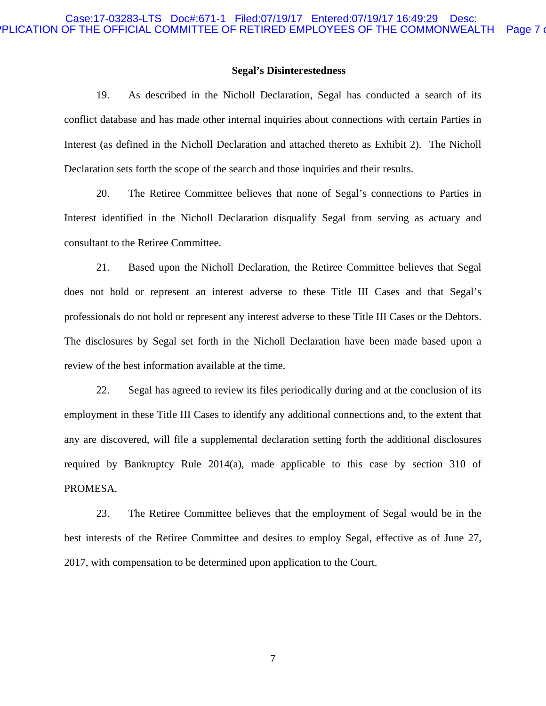#### **Segal's Disinterestedness**

19. As described in the Nicholl Declaration, Segal has conducted a search of its conflict database and has made other internal inquiries about connections with certain Parties in Interest (as defined in the Nicholl Declaration and attached thereto as Exhibit 2). The Nicholl Declaration sets forth the scope of the search and those inquiries and their results.

20. The Retiree Committee believes that none of Segal's connections to Parties in Interest identified in the Nicholl Declaration disqualify Segal from serving as actuary and consultant to the Retiree Committee.

21. Based upon the Nicholl Declaration, the Retiree Committee believes that Segal does not hold or represent an interest adverse to these Title III Cases and that Segal's professionals do not hold or represent any interest adverse to these Title III Cases or the Debtors. The disclosures by Segal set forth in the Nicholl Declaration have been made based upon a review of the best information available at the time.

22. Segal has agreed to review its files periodically during and at the conclusion of its employment in these Title III Cases to identify any additional connections and, to the extent that any are discovered, will file a supplemental declaration setting forth the additional disclosures required by Bankruptcy Rule 2014(a), made applicable to this case by section 310 of PROMESA.

23. The Retiree Committee believes that the employment of Segal would be in the best interests of the Retiree Committee and desires to employ Segal, effective as of June 27, 2017, with compensation to be determined upon application to the Court.

7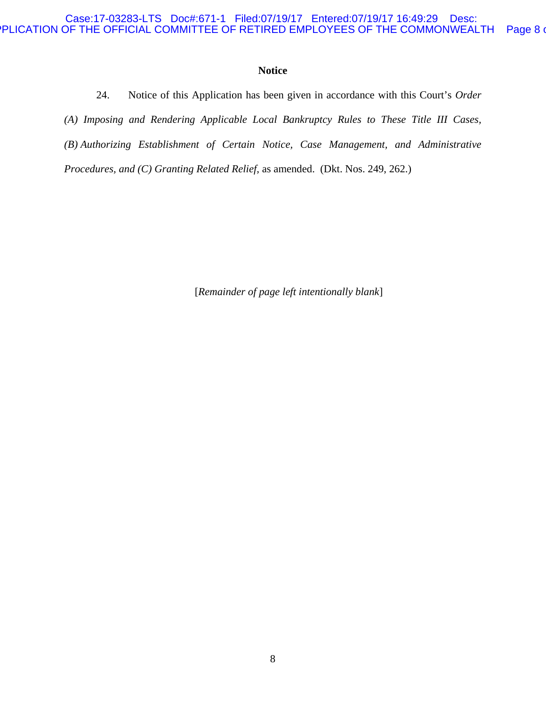## Case:17-03283-LTS Doc#:671-1 Filed:07/19/17 Entered:07/19/17 16:49:29 Desc: PLICATION OF THE OFFICIAL COMMITTEE OF RETIRED EMPLOYEES OF THE COMMONWEALTH Page 8 of

# **Notice**

24. Notice of this Application has been given in accordance with this Court's *Order* 

*(A) Imposing and Rendering Applicable Local Bankruptcy Rules to These Title III Cases,* 

*(B) Authorizing Establishment of Certain Notice, Case Management, and Administrative* 

*Procedures, and (C) Granting Related Relief,* as amended. (Dkt. Nos. 249, 262.)

[*Remainder of page left intentionally blank*]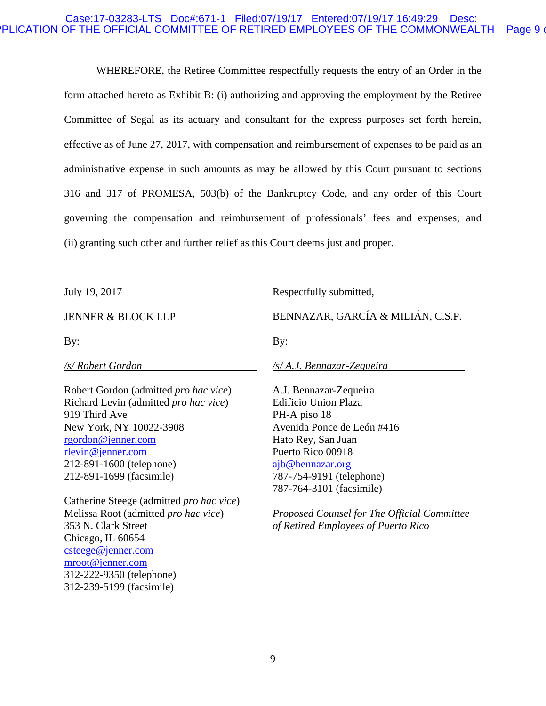### Case:17-03283-LTS Doc#:671-1 Filed:07/19/17 Entered:07/19/17 16:49:29 Desc: PLICATION OF THE OFFICIAL COMMITTEE OF RETIRED EMPLOYEES OF THE COMMONWEALTH Page 9 of

WHEREFORE, the Retiree Committee respectfully requests the entry of an Order in the form attached hereto as Exhibit B: (i) authorizing and approving the employment by the Retiree Committee of Segal as its actuary and consultant for the express purposes set forth herein, effective as of June 27, 2017, with compensation and reimbursement of expenses to be paid as an administrative expense in such amounts as may be allowed by this Court pursuant to sections 316 and 317 of PROMESA, 503(b) of the Bankruptcy Code, and any order of this Court governing the compensation and reimbursement of professionals' fees and expenses; and (ii) granting such other and further relief as this Court deems just and proper.

July 19, 2017

Respectfully submitted,

JENNER & BLOCK LLP

By:

*/s/ Robert Gordon* 

BENNAZAR, GARCÍA & MILIÁN, C.S.P.

By:

*/s/ A.J. Bennazar-Zequeira* 

Robert Gordon (admitted *pro hac vice*) Richard Levin (admitted *pro hac vice*) 919 Third Ave New York, NY 10022-3908 rgordon@jenner.com rlevin@jenner.com 212-891-1600 (telephone) 212-891-1699 (facsimile)

Catherine Steege (admitted *pro hac vice*) Melissa Root (admitted *pro hac vice*) 353 N. Clark Street Chicago, IL 60654 csteege@jenner.com mroot@jenner.com 312-222-9350 (telephone) 312-239-5199 (facsimile)

A.J. Bennazar-Zequeira Edificio Union Plaza PH-A piso 18 Avenida Ponce de León #416 Hato Rey, San Juan Puerto Rico 00918 ajb@bennazar.org 787-754-9191 (telephone) 787-764-3101 (facsimile)

*Proposed Counsel for The Official Committee of Retired Employees of Puerto Rico*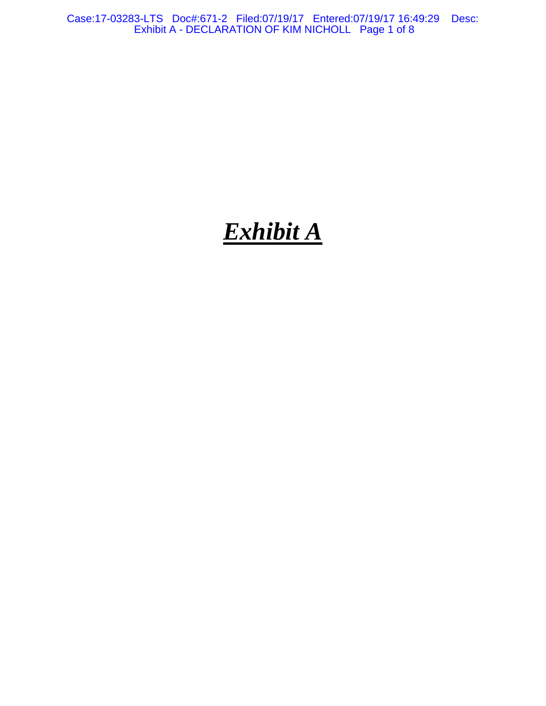Case:17-03283-LTS Doc#:671-2 Filed:07/19/17 Entered:07/19/17 16:49:29 Desc: Exhibit A - DECLARATION OF KIM NICHOLL Page 1 of 8

# *Exhibit A*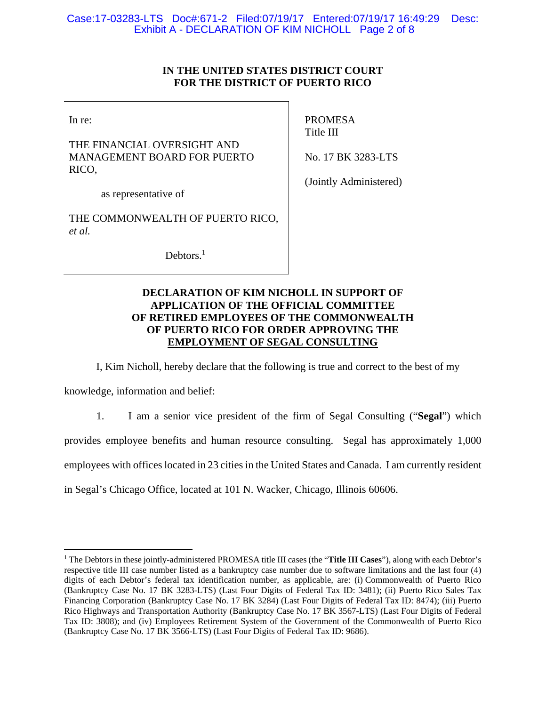# Case:17-03283-LTS Doc#:671-2 Filed:07/19/17 Entered:07/19/17 16:49:29 Desc: Exhibit A - DECLARATION OF KIM NICHOLL Page 2 of 8

# **IN THE UNITED STATES DISTRICT COURT FOR THE DISTRICT OF PUERTO RICO**

In re:

THE FINANCIAL OVERSIGHT AND MANAGEMENT BOARD FOR PUERTO RICO,

PROMESA Title III

No. 17 BK 3283-LTS

as representative of

THE COMMONWEALTH OF PUERTO RICO, *et al.*

Debtors.<sup>1</sup>

(Jointly Administered)

# **DECLARATION OF KIM NICHOLL IN SUPPORT OF APPLICATION OF THE OFFICIAL COMMITTEE OF RETIRED EMPLOYEES OF THE COMMONWEALTH OF PUERTO RICO FOR ORDER APPROVING THE EMPLOYMENT OF SEGAL CONSULTING**

I, Kim Nicholl, hereby declare that the following is true and correct to the best of my

knowledge, information and belief:

1. I am a senior vice president of the firm of Segal Consulting ("**Segal**") which provides employee benefits and human resource consulting. Segal has approximately 1,000 employees with offices located in 23 cities in the United States and Canada. I am currently resident in Segal's Chicago Office, located at 101 N. Wacker, Chicago, Illinois 60606.

<sup>1</sup> The Debtors in these jointly-administered PROMESA title III cases (the "**Title III Cases**"), along with each Debtor's respective title III case number listed as a bankruptcy case number due to software limitations and the last four (4) digits of each Debtor's federal tax identification number, as applicable, are: (i) Commonwealth of Puerto Rico (Bankruptcy Case No. 17 BK 3283-LTS) (Last Four Digits of Federal Tax ID: 3481); (ii) Puerto Rico Sales Tax Financing Corporation (Bankruptcy Case No. 17 BK 3284) (Last Four Digits of Federal Tax ID: 8474); (iii) Puerto Rico Highways and Transportation Authority (Bankruptcy Case No. 17 BK 3567-LTS) (Last Four Digits of Federal Tax ID: 3808); and (iv) Employees Retirement System of the Government of the Commonwealth of Puerto Rico (Bankruptcy Case No. 17 BK 3566-LTS) (Last Four Digits of Federal Tax ID: 9686).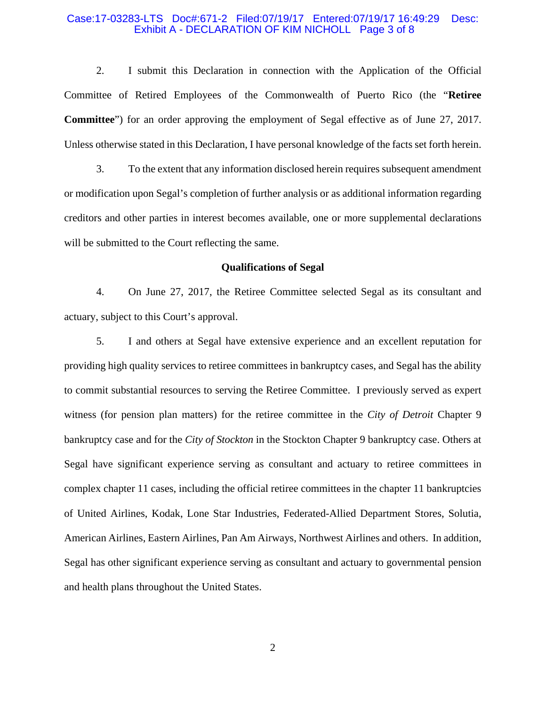#### Case:17-03283-LTS Doc#:671-2 Filed:07/19/17 Entered:07/19/17 16:49:29 Desc: Exhibit A - DECLARATION OF KIM NICHOLL Page 3 of 8

2. I submit this Declaration in connection with the Application of the Official Committee of Retired Employees of the Commonwealth of Puerto Rico (the "**Retiree Committee**") for an order approving the employment of Segal effective as of June 27, 2017. Unless otherwise stated in this Declaration, I have personal knowledge of the facts set forth herein.

3. To the extent that any information disclosed herein requires subsequent amendment or modification upon Segal's completion of further analysis or as additional information regarding creditors and other parties in interest becomes available, one or more supplemental declarations will be submitted to the Court reflecting the same.

#### **Qualifications of Segal**

4. On June 27, 2017, the Retiree Committee selected Segal as its consultant and actuary, subject to this Court's approval.

5. I and others at Segal have extensive experience and an excellent reputation for providing high quality services to retiree committees in bankruptcy cases, and Segal has the ability to commit substantial resources to serving the Retiree Committee. I previously served as expert witness (for pension plan matters) for the retiree committee in the *City of Detroit* Chapter 9 bankruptcy case and for the *City of Stockton* in the Stockton Chapter 9 bankruptcy case. Others at Segal have significant experience serving as consultant and actuary to retiree committees in complex chapter 11 cases, including the official retiree committees in the chapter 11 bankruptcies of United Airlines, Kodak, Lone Star Industries, Federated-Allied Department Stores, Solutia, American Airlines, Eastern Airlines, Pan Am Airways, Northwest Airlines and others. In addition, Segal has other significant experience serving as consultant and actuary to governmental pension and health plans throughout the United States.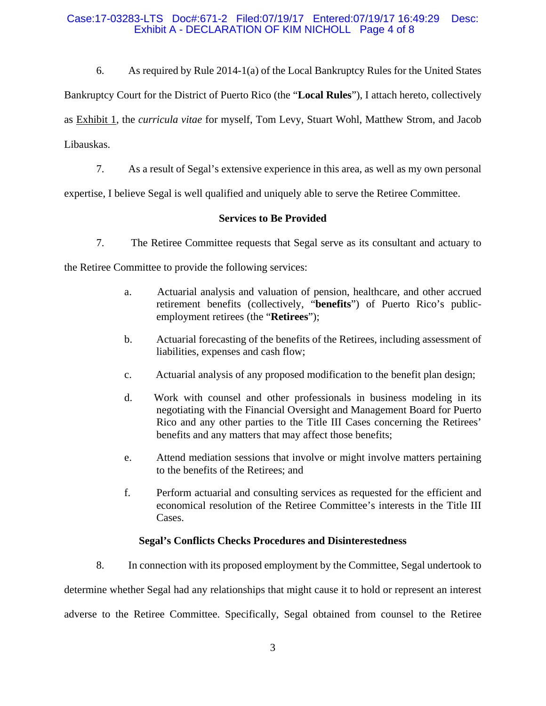# Case:17-03283-LTS Doc#:671-2 Filed:07/19/17 Entered:07/19/17 16:49:29 Desc: Exhibit A - DECLARATION OF KIM NICHOLL Page 4 of 8

6. As required by Rule 2014-1(a) of the Local Bankruptcy Rules for the United States Bankruptcy Court for the District of Puerto Rico (the "**Local Rules**"), I attach hereto, collectively as Exhibit 1, the *curricula vitae* for myself, Tom Levy, Stuart Wohl, Matthew Strom, and Jacob Libauskas.

7. As a result of Segal's extensive experience in this area, as well as my own personal

expertise, I believe Segal is well qualified and uniquely able to serve the Retiree Committee.

# **Services to Be Provided**

7. The Retiree Committee requests that Segal serve as its consultant and actuary to

the Retiree Committee to provide the following services:

- a. Actuarial analysis and valuation of pension, healthcare, and other accrued retirement benefits (collectively, "**benefits**") of Puerto Rico's publicemployment retirees (the "**Retirees**");
- b. Actuarial forecasting of the benefits of the Retirees, including assessment of liabilities, expenses and cash flow;
- c. Actuarial analysis of any proposed modification to the benefit plan design;
- d. Work with counsel and other professionals in business modeling in its negotiating with the Financial Oversight and Management Board for Puerto Rico and any other parties to the Title III Cases concerning the Retirees' benefits and any matters that may affect those benefits;
- e. Attend mediation sessions that involve or might involve matters pertaining to the benefits of the Retirees; and
- f. Perform actuarial and consulting services as requested for the efficient and economical resolution of the Retiree Committee's interests in the Title III Cases.

# **Segal's Conflicts Checks Procedures and Disinterestedness**

8. In connection with its proposed employment by the Committee, Segal undertook to determine whether Segal had any relationships that might cause it to hold or represent an interest adverse to the Retiree Committee. Specifically, Segal obtained from counsel to the Retiree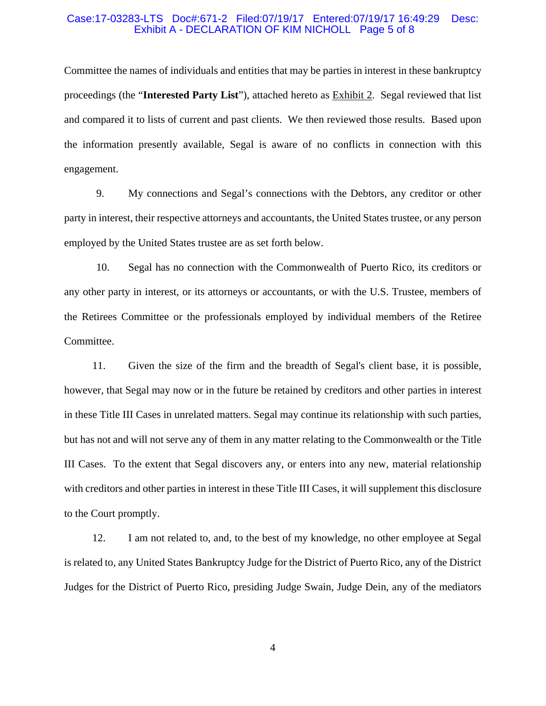#### Case:17-03283-LTS Doc#:671-2 Filed:07/19/17 Entered:07/19/17 16:49:29 Desc: Exhibit A - DECLARATION OF KIM NICHOLL Page 5 of 8

Committee the names of individuals and entities that may be parties in interest in these bankruptcy proceedings (the "**Interested Party List**"), attached hereto as Exhibit 2. Segal reviewed that list and compared it to lists of current and past clients. We then reviewed those results. Based upon the information presently available, Segal is aware of no conflicts in connection with this engagement.

9. My connections and Segal's connections with the Debtors, any creditor or other party in interest, their respective attorneys and accountants, the United States trustee, or any person employed by the United States trustee are as set forth below.

10. Segal has no connection with the Commonwealth of Puerto Rico, its creditors or any other party in interest, or its attorneys or accountants, or with the U.S. Trustee, members of the Retirees Committee or the professionals employed by individual members of the Retiree Committee.

11. Given the size of the firm and the breadth of Segal's client base, it is possible, however, that Segal may now or in the future be retained by creditors and other parties in interest in these Title III Cases in unrelated matters. Segal may continue its relationship with such parties, but has not and will not serve any of them in any matter relating to the Commonwealth or the Title III Cases. To the extent that Segal discovers any, or enters into any new, material relationship with creditors and other parties in interest in these Title III Cases, it will supplement this disclosure to the Court promptly.

12. I am not related to, and, to the best of my knowledge, no other employee at Segal is related to, any United States Bankruptcy Judge for the District of Puerto Rico, any of the District Judges for the District of Puerto Rico, presiding Judge Swain, Judge Dein, any of the mediators

4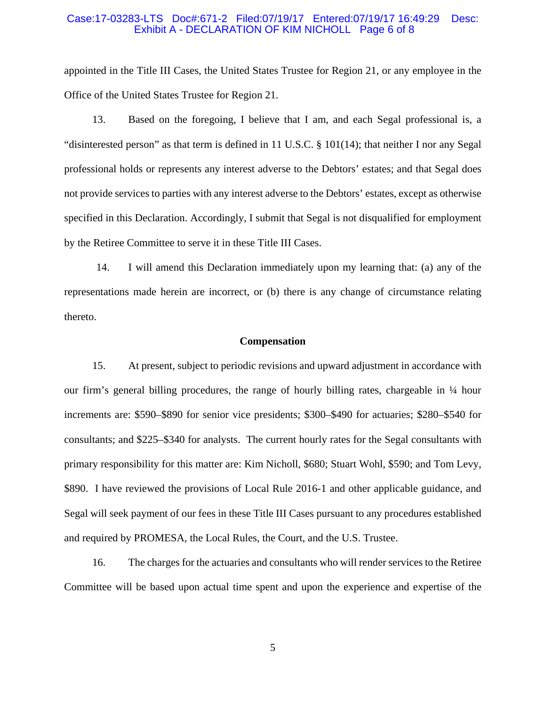#### Case:17-03283-LTS Doc#:671-2 Filed:07/19/17 Entered:07/19/17 16:49:29 Desc: Exhibit A - DECLARATION OF KIM NICHOLL Page 6 of 8

appointed in the Title III Cases, the United States Trustee for Region 21, or any employee in the Office of the United States Trustee for Region 21.

13. Based on the foregoing, I believe that I am, and each Segal professional is, a "disinterested person" as that term is defined in 11 U.S.C. § 101(14); that neither I nor any Segal professional holds or represents any interest adverse to the Debtors' estates; and that Segal does not provide services to parties with any interest adverse to the Debtors' estates, except as otherwise specified in this Declaration. Accordingly, I submit that Segal is not disqualified for employment by the Retiree Committee to serve it in these Title III Cases.

14. I will amend this Declaration immediately upon my learning that: (a) any of the representations made herein are incorrect, or (b) there is any change of circumstance relating thereto.

#### **Compensation**

15. At present, subject to periodic revisions and upward adjustment in accordance with our firm's general billing procedures, the range of hourly billing rates, chargeable in ¼ hour increments are: \$590–\$890 for senior vice presidents; \$300–\$490 for actuaries; \$280–\$540 for consultants; and \$225–\$340 for analysts. The current hourly rates for the Segal consultants with primary responsibility for this matter are: Kim Nicholl, \$680; Stuart Wohl, \$590; and Tom Levy, \$890. I have reviewed the provisions of Local Rule 2016-1 and other applicable guidance, and Segal will seek payment of our fees in these Title III Cases pursuant to any procedures established and required by PROMESA, the Local Rules, the Court, and the U.S. Trustee.

16. The charges for the actuaries and consultants who will render services to the Retiree Committee will be based upon actual time spent and upon the experience and expertise of the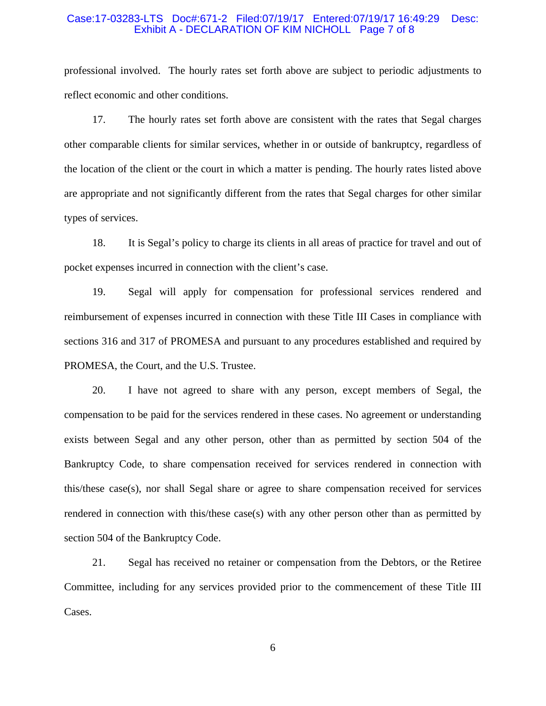#### Case:17-03283-LTS Doc#:671-2 Filed:07/19/17 Entered:07/19/17 16:49:29 Desc: Exhibit A - DECLARATION OF KIM NICHOLL Page 7 of 8

professional involved. The hourly rates set forth above are subject to periodic adjustments to reflect economic and other conditions.

17. The hourly rates set forth above are consistent with the rates that Segal charges other comparable clients for similar services, whether in or outside of bankruptcy, regardless of the location of the client or the court in which a matter is pending. The hourly rates listed above are appropriate and not significantly different from the rates that Segal charges for other similar types of services.

18. It is Segal's policy to charge its clients in all areas of practice for travel and out of pocket expenses incurred in connection with the client's case.

19. Segal will apply for compensation for professional services rendered and reimbursement of expenses incurred in connection with these Title III Cases in compliance with sections 316 and 317 of PROMESA and pursuant to any procedures established and required by PROMESA, the Court, and the U.S. Trustee.

20. I have not agreed to share with any person, except members of Segal, the compensation to be paid for the services rendered in these cases. No agreement or understanding exists between Segal and any other person, other than as permitted by section 504 of the Bankruptcy Code, to share compensation received for services rendered in connection with this/these case(s), nor shall Segal share or agree to share compensation received for services rendered in connection with this/these case(s) with any other person other than as permitted by section 504 of the Bankruptcy Code.

21. Segal has received no retainer or compensation from the Debtors, or the Retiree Committee, including for any services provided prior to the commencement of these Title III Cases.

6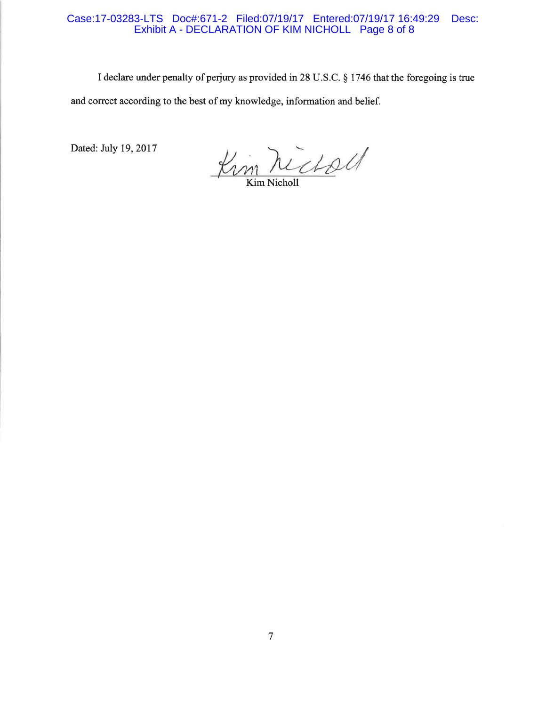## Case:17-03283-LTS Doc#:671-2 Filed:07/19/17 Entered:07/19/17 16:49:29 Desc: Exhibit A - DECLARATION OF KIM NICHOLL Page 8 of 8

I declare under penalty of perjury as provided in 28 U.S.C. § 1746 that the foregoing is true and correct according to the best of my knowledge, information and belief.

Dated: July 19, 2017

Kim ne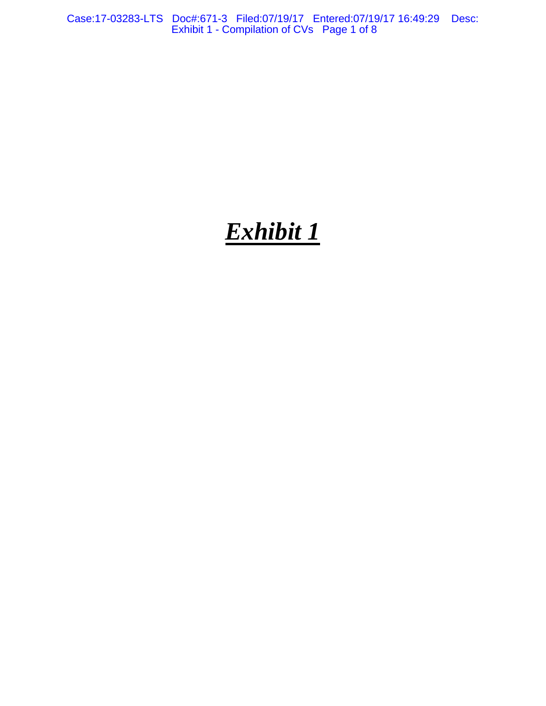Case:17-03283-LTS Doc#:671-3 Filed:07/19/17 Entered:07/19/17 16:49:29 Desc: Exhibit 1 - Compilation of CVs Page 1 of 8

# *Exhibit 1*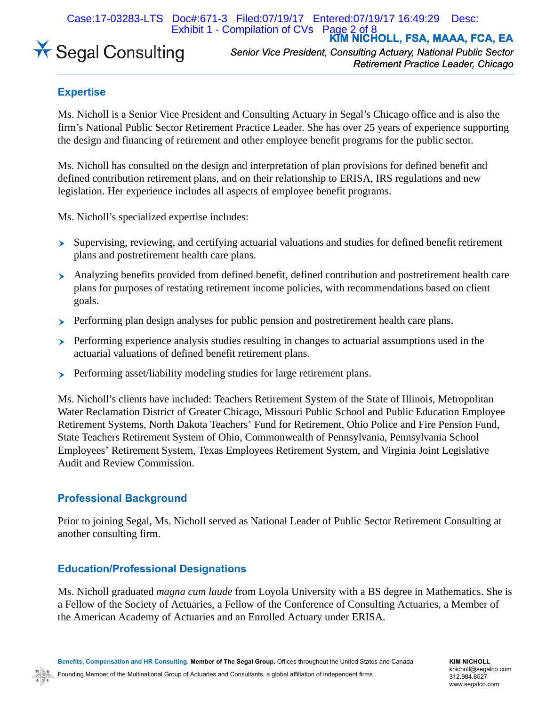Case:17-03283-LTS Doc#:671-3 Filed:07/19/17 Entered:07/19/17 16:49:29 Desc:

**KIM NICHOLL, FSA, MAAA, FCA, EA** Exhibit 1 - Compilation of CVs Page 2 of 8



*Senior Vice President, Consulting Actuary, National Public Sector Retirement Practice Leader, Chicago*

# **Expertise**

Ms. Nicholl is a Senior Vice President and Consulting Actuary in Segal's Chicago office and is also the firm's National Public Sector Retirement Practice Leader. She has over 25 years of experience supporting the design and financing of retirement and other employee benefit programs for the public sector.

Ms. Nicholl has consulted on the design and interpretation of plan provisions for defined benefit and defined contribution retirement plans, and on their relationship to ERISA, IRS regulations and new legislation. Her experience includes all aspects of employee benefit programs.

Ms. Nicholl's specialized expertise includes:

- Ø Supervising, reviewing, and certifying actuarial valuations and studies for defined benefit retirement plans and postretirement health care plans.
- Ø Analyzing benefits provided from defined benefit, defined contribution and postretirement health care plans for purposes of restating retirement income policies, with recommendations based on client goals.
- $\triangleright$  Performing plan design analyses for public pension and postretirement health care plans.
- $\triangleright$  Performing experience analysis studies resulting in changes to actuarial assumptions used in the actuarial valuations of defined benefit retirement plans.
- **EXECUTE:** Performing asset/liability modeling studies for large retirement plans.

Ms. Nicholl's clients have included: Teachers Retirement System of the State of Illinois, Metropolitan Water Reclamation District of Greater Chicago, Missouri Public School and Public Education Employee Retirement Systems, North Dakota Teachers' Fund for Retirement, Ohio Police and Fire Pension Fund, State Teachers Retirement System of Ohio, Commonwealth of Pennsylvania, Pennsylvania School Employees' Retirement System, Texas Employees Retirement System, and Virginia Joint Legislative Audit and Review Commission.

# **Professional Background**

Prior to joining Segal, Ms. Nicholl served as National Leader of Public Sector Retirement Consulting at another consulting firm.

# **Education/Professional Designations**

Ms. Nicholl graduated *magna cum laude* from Loyola University with a BS degree in Mathematics. She is a Fellow of the Society of Actuaries, a Fellow of the Conference of Consulting Actuaries, a Member of the American Academy of Actuaries and an Enrolled Actuary under ERISA.

Founding Member of the Multinational Group of Actuaries and Consultants, a global affiliation of independent firms

**KIM NICHOLL** knicholl@segalco.com 312.984.8527 www.segalco.com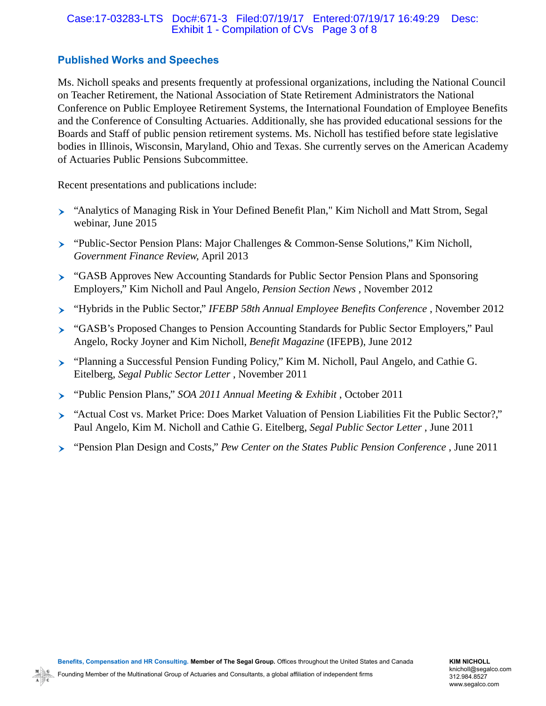## Case:17-03283-LTS Doc#:671-3 Filed:07/19/17 Entered:07/19/17 16:49:29 Desc: Exhibit 1 - Compilation of CVs Page 3 of 8

# **Published Works and Speeches**

Ms. Nicholl speaks and presents frequently at professional organizations, including the National Council on Teacher Retirement, the National Association of State Retirement Administrators the National Conference on Public Employee Retirement Systems, the International Foundation of Employee Benefits and the Conference of Consulting Actuaries. Additionally, she has provided educational sessions for the Boards and Staff of public pension retirement systems. Ms. Nicholl has testified before state legislative bodies in Illinois, Wisconsin, Maryland, Ohio and Texas. She currently serves on the American Academy of Actuaries Public Pensions Subcommittee.

Recent presentations and publications include:

- Ø "Analytics of Managing Risk in Your Defined Benefit Plan," Kim Nicholl and Matt Strom, Segal webinar, June 2015
- Ø "Public-Sector Pension Plans: Major Challenges & Common-Sense Solutions," Kim Nicholl, *Government Finance Review,* April 2013
- Ø "GASB Approves New Accounting Standards for Public Sector Pension Plans and Sponsoring Employers," Kim Nicholl and Paul Angelo, *Pension Section News* , November 2012
- Ø "Hybrids in the Public Sector," *IFEBP 58th Annual Employee Benefits Conference* , November 2012
- Ø "GASB's Proposed Changes to Pension Accounting Standards for Public Sector Employers," Paul Angelo, Rocky Joyner and Kim Nicholl, *Benefit Magazine* (IFEPB), June 2012
- Ø "Planning a Successful Pension Funding Policy," Kim M. Nicholl, Paul Angelo, and Cathie G. Eitelberg, *Segal Public Sector Letter* , November 2011
- Ø "Public Pension Plans," *SOA 2011 Annual Meeting & Exhibit* , October 2011
- Ø "Actual Cost vs. Market Price: Does Market Valuation of Pension Liabilities Fit the Public Sector?," Paul Angelo, Kim M. Nicholl and Cathie G. Eitelberg, *Segal Public Sector Letter* , June 2011
- Ø "Pension Plan Design and Costs," *Pew Center on the States Public Pension Conference* , June 2011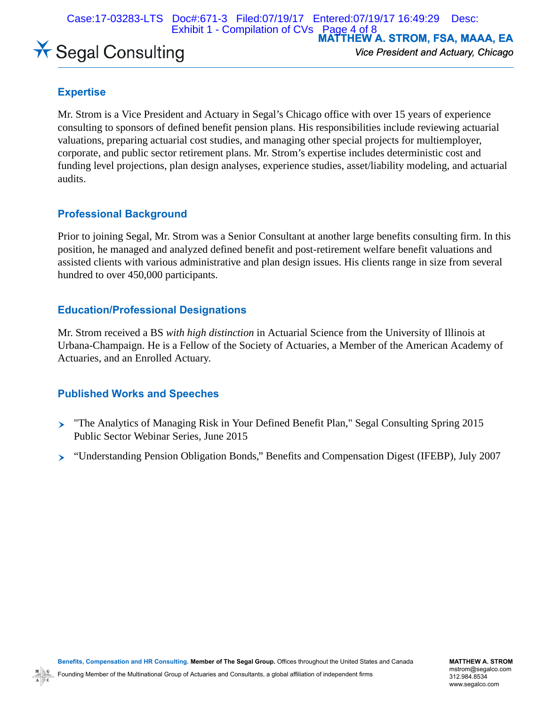Case:17-03283-LTS Doc#:671-3 Filed:07/19/17 Entered:07/19/17 16:49:29 Desc: Exhibit 1 - Compilation of CVs Page 4 of 8

**MATTHEW A. STROM, FSA, MAAA, EA**

# **X** Segal Consulting

*Vice President and Actuary, Chicago*

# **Expertise**

Mr. Strom is a Vice President and Actuary in Segal's Chicago office with over 15 years of experience consulting to sponsors of defined benefit pension plans. His responsibilities include reviewing actuarial valuations, preparing actuarial cost studies, and managing other special projects for multiemployer, corporate, and public sector retirement plans. Mr. Strom's expertise includes deterministic cost and funding level projections, plan design analyses, experience studies, asset/liability modeling, and actuarial audits.

# **Professional Background**

Prior to joining Segal, Mr. Strom was a Senior Consultant at another large benefits consulting firm. In this position, he managed and analyzed defined benefit and post-retirement welfare benefit valuations and assisted clients with various administrative and plan design issues. His clients range in size from several hundred to over 450,000 participants.

# **Education/Professional Designations**

Mr. Strom received a BS *with high distinction* in Actuarial Science from the University of Illinois at Urbana-Champaign. He is a Fellow of the Society of Actuaries, a Member of the American Academy of Actuaries, and an Enrolled Actuary.

# **Published Works and Speeches**

- Ø "The Analytics of Managing Risk in Your Defined Benefit Plan," Segal Consulting Spring 2015 Public Sector Webinar Series, June 2015
- Ø "Understanding Pension Obligation Bonds," Benefits and Compensation Digest (IFEBP), July 2007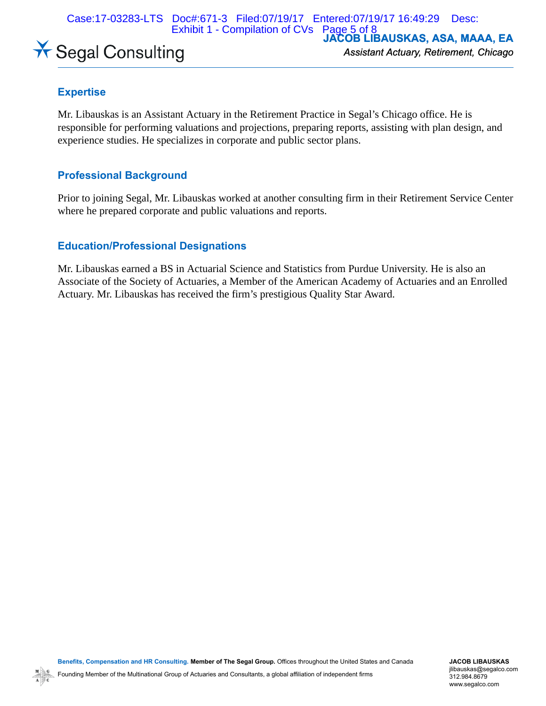Case:17-03283-LTS Doc#:671-3 Filed:07/19/17 Entered:07/19/17 16:49:29 Desc: Exhibit 1 - Compilation of CVs Page 5 of 8



**JACOB LIBAUSKAS, ASA, MAAA, EA** *Assistant Actuary, Retirement, Chicago*

# **Expertise**

Mr. Libauskas is an Assistant Actuary in the Retirement Practice in Segal's Chicago office. He is responsible for performing valuations and projections, preparing reports, assisting with plan design, and experience studies. He specializes in corporate and public sector plans.

# **Professional Background**

Prior to joining Segal, Mr. Libauskas worked at another consulting firm in their Retirement Service Center where he prepared corporate and public valuations and reports.

# **Education/Professional Designations**

Mr. Libauskas earned a BS in Actuarial Science and Statistics from Purdue University. He is also an Associate of the Society of Actuaries, a Member of the American Academy of Actuaries and an Enrolled Actuary. Mr. Libauskas has received the firm's prestigious Quality Star Award.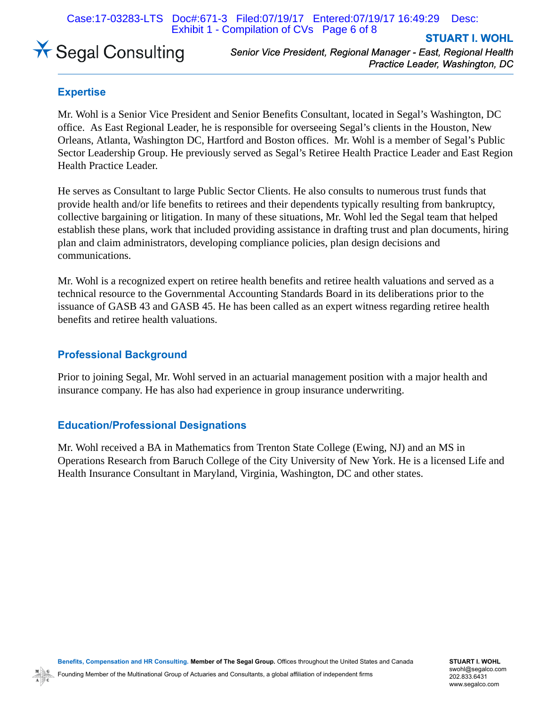Case:17-03283-LTS Doc#:671-3 Filed:07/19/17 Entered:07/19/17 16:49:29 Desc: Exhibit 1 - Compilation of CVs Page 6 of 8



*Senior Vice President, Regional Manager - East, Regional Health Practice Leader, Washington, DC*

**STUART I. WOHL**

# **Expertise**

Mr. Wohl is a Senior Vice President and Senior Benefits Consultant, located in Segal's Washington, DC office. As East Regional Leader, he is responsible for overseeing Segal's clients in the Houston, New Orleans, Atlanta, Washington DC, Hartford and Boston offices. Mr. Wohl is a member of Segal's Public Sector Leadership Group. He previously served as Segal's Retiree Health Practice Leader and East Region Health Practice Leader.

He serves as Consultant to large Public Sector Clients. He also consults to numerous trust funds that provide health and/or life benefits to retirees and their dependents typically resulting from bankruptcy, collective bargaining or litigation. In many of these situations, Mr. Wohl led the Segal team that helped establish these plans, work that included providing assistance in drafting trust and plan documents, hiring plan and claim administrators, developing compliance policies, plan design decisions and communications.

Mr. Wohl is a recognized expert on retiree health benefits and retiree health valuations and served as a technical resource to the Governmental Accounting Standards Board in its deliberations prior to the issuance of GASB 43 and GASB 45. He has been called as an expert witness regarding retiree health benefits and retiree health valuations.

# **Professional Background**

Prior to joining Segal, Mr. Wohl served in an actuarial management position with a major health and insurance company. He has also had experience in group insurance underwriting.

# **Education/Professional Designations**

Mr. Wohl received a BA in Mathematics from Trenton State College (Ewing, NJ) and an MS in Operations Research from Baruch College of the City University of New York. He is a licensed Life and Health Insurance Consultant in Maryland, Virginia, Washington, DC and other states.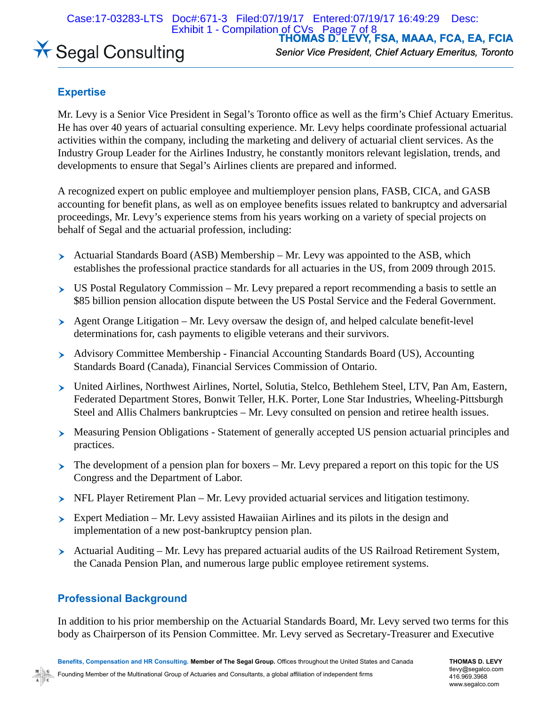Case:17-03283-LTS Doc#:671-3 Filed:07/19/17 Entered:07/19/17 16:49:29 Desc: Exhibit 1 - Compilation of CVs Page 7 of 8



**THOMAS D. LEVY, FSA, MAAA, FCA, EA, FCIA** *Senior Vice President, Chief Actuary Emeritus, Toronto*

# **Expertise**

Mr. Levy is a Senior Vice President in Segal's Toronto office as well as the firm's Chief Actuary Emeritus. He has over 40 years of actuarial consulting experience. Mr. Levy helps coordinate professional actuarial activities within the company, including the marketing and delivery of actuarial client services. As the Industry Group Leader for the Airlines Industry, he constantly monitors relevant legislation, trends, and developments to ensure that Segal's Airlines clients are prepared and informed.

A recognized expert on public employee and multiemployer pension plans, FASB, CICA, and GASB accounting for benefit plans, as well as on employee benefits issues related to bankruptcy and adversarial proceedings, Mr. Levy's experience stems from his years working on a variety of special projects on behalf of Segal and the actuarial profession, including:

- $\triangleright$  Actuarial Standards Board (ASB) Membership Mr. Levy was appointed to the ASB, which establishes the professional practice standards for all actuaries in the US, from 2009 through 2015.
- $\triangleright$  US Postal Regulatory Commission Mr. Levy prepared a report recommending a basis to settle an \$85 billion pension allocation dispute between the US Postal Service and the Federal Government.
- $\rightarrow$  Agent Orange Litigation Mr. Levy oversaw the design of, and helped calculate benefit-level determinations for, cash payments to eligible veterans and their survivors.
- Ø Advisory Committee Membership Financial Accounting Standards Board (US), Accounting Standards Board (Canada), Financial Services Commission of Ontario.
- Ø United Airlines, Northwest Airlines, Nortel, Solutia, Stelco, Bethlehem Steel, LTV, Pan Am, Eastern, Federated Department Stores, Bonwit Teller, H.K. Porter, Lone Star Industries, Wheeling-Pittsburgh Steel and Allis Chalmers bankruptcies – Mr. Levy consulted on pension and retiree health issues.
- Ø Measuring Pension Obligations Statement of generally accepted US pension actuarial principles and practices.
- $\triangleright$  The development of a pension plan for boxers Mr. Levy prepared a report on this topic for the US Congress and the Department of Labor.
- $\triangleright$  NFL Player Retirement Plan Mr. Levy provided actuarial services and litigation testimony.
- $\triangleright$  Expert Mediation Mr. Levy assisted Hawaiian Airlines and its pilots in the design and implementation of a new post-bankruptcy pension plan.
- $\triangleright$  Actuarial Auditing Mr. Levy has prepared actuarial audits of the US Railroad Retirement System, the Canada Pension Plan, and numerous large public employee retirement systems.

# **Professional Background**

In addition to his prior membership on the Actuarial Standards Board, Mr. Levy served two terms for this body as Chairperson of its Pension Committee. Mr. Levy served as Secretary-Treasurer and Executive

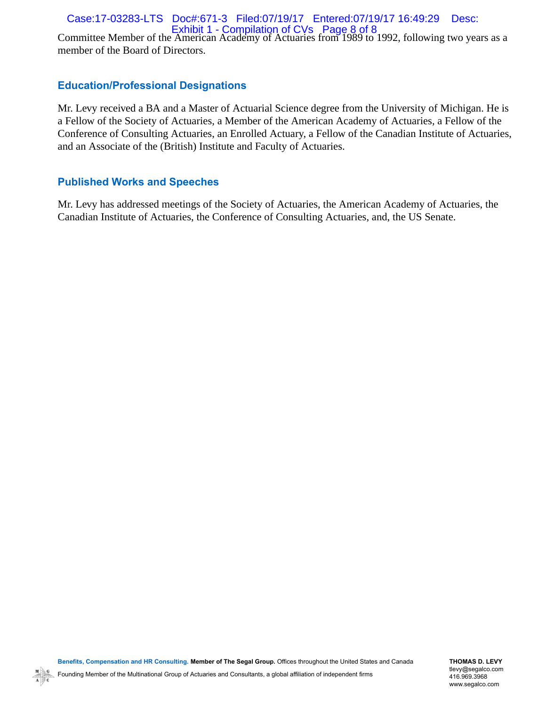# Case:17-03283-LTS Doc#:671-3 Filed:07/19/17 Entered:07/19/17 16:49:29 Desc: Exhibit 1 - Compilation of CVs Page 8 of 8

Committee Member of the American Academy of Actuaries from 1989 to 1992, following two years as a member of the Board of Directors.

# **Education/Professional Designations**

Mr. Levy received a BA and a Master of Actuarial Science degree from the University of Michigan. He is a Fellow of the Society of Actuaries, a Member of the American Academy of Actuaries, a Fellow of the Conference of Consulting Actuaries, an Enrolled Actuary, a Fellow of the Canadian Institute of Actuaries, and an Associate of the (British) Institute and Faculty of Actuaries.

# **Published Works and Speeches**

Mr. Levy has addressed meetings of the Society of Actuaries, the American Academy of Actuaries, the Canadian Institute of Actuaries, the Conference of Consulting Actuaries, and, the US Senate.

**THOMAS D. LEVY** tlevy@segalco.com 416.969.3968 www.segalco.com

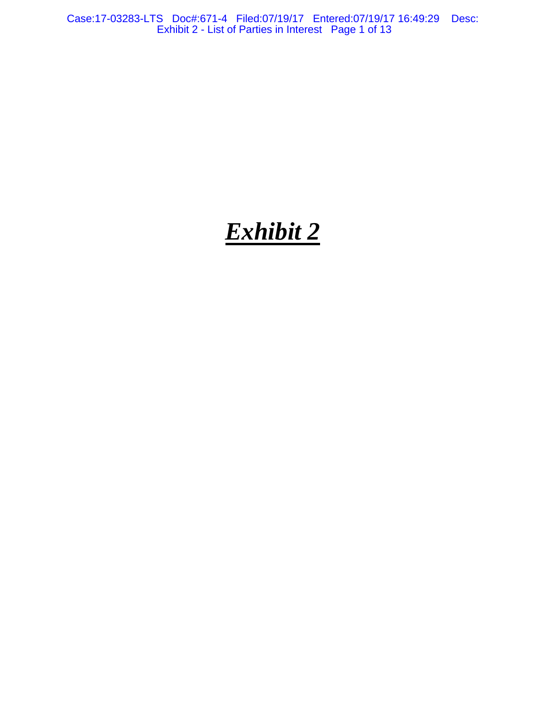Case:17-03283-LTS Doc#:671-4 Filed:07/19/17 Entered:07/19/17 16:49:29 Desc: Exhibit 2 - List of Parties in Interest Page 1 of 13

# *Exhibit 2*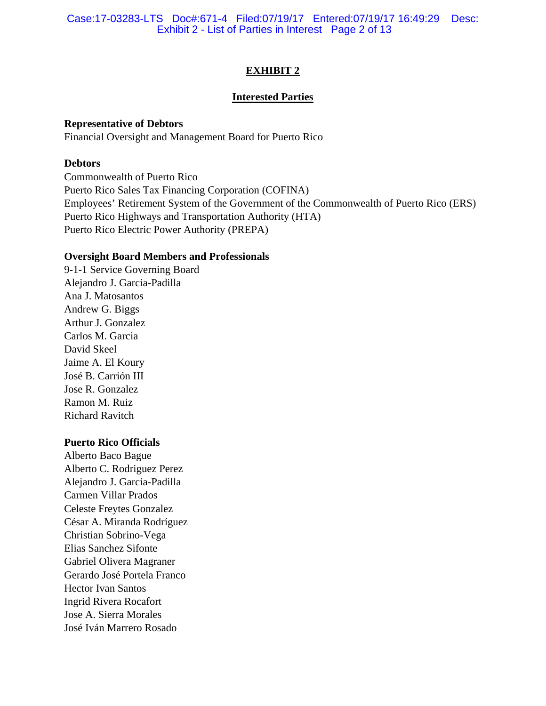Case:17-03283-LTS Doc#:671-4 Filed:07/19/17 Entered:07/19/17 16:49:29 Desc: Exhibit 2 - List of Parties in Interest Page 2 of 13

# **EXHIBIT 2**

## **Interested Parties**

## **Representative of Debtors**

Financial Oversight and Management Board for Puerto Rico

# **Debtors**

Commonwealth of Puerto Rico Puerto Rico Sales Tax Financing Corporation (COFINA) Employees' Retirement System of the Government of the Commonwealth of Puerto Rico (ERS) Puerto Rico Highways and Transportation Authority (HTA) Puerto Rico Electric Power Authority (PREPA)

## **Oversight Board Members and Professionals**

9-1-1 Service Governing Board Alejandro J. Garcia-Padilla Ana J. Matosantos Andrew G. Biggs Arthur J. Gonzalez Carlos M. Garcia David Skeel Jaime A. El Koury José B. Carrión III Jose R. Gonzalez Ramon M. Ruiz Richard Ravitch

# **Puerto Rico Officials**

Alberto Baco Bague Alberto C. Rodriguez Perez Alejandro J. Garcia-Padilla Carmen Villar Prados Celeste Freytes Gonzalez César A. Miranda Rodríguez Christian Sobrino-Vega Elias Sanchez Sifonte Gabriel Olivera Magraner Gerardo José Portela Franco Hector Ivan Santos Ingrid Rivera Rocafort Jose A. Sierra Morales José Iván Marrero Rosado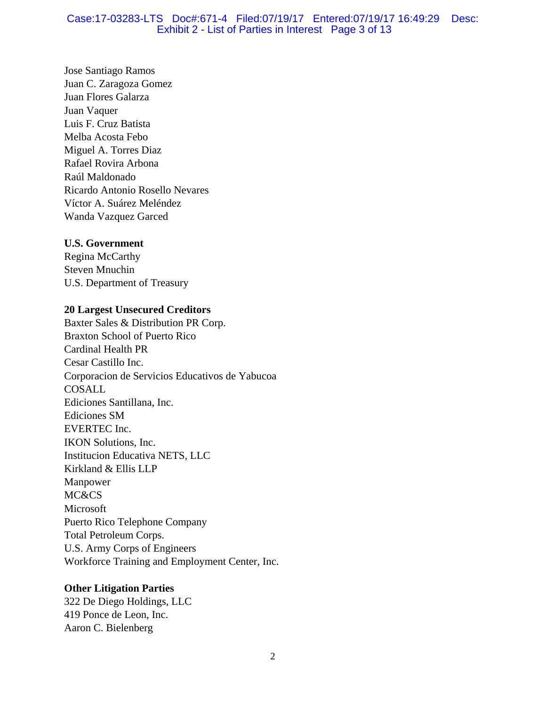## Case:17-03283-LTS Doc#:671-4 Filed:07/19/17 Entered:07/19/17 16:49:29 Desc: Exhibit 2 - List of Parties in Interest Page 3 of 13

Jose Santiago Ramos Juan C. Zaragoza Gomez Juan Flores Galarza Juan Vaquer Luis F. Cruz Batista Melba Acosta Febo Miguel A. Torres Diaz Rafael Rovira Arbona Raúl Maldonado Ricardo Antonio Rosello Nevares Víctor A. Suárez Meléndez Wanda Vazquez Garced

# **U.S. Government**

Regina McCarthy Steven Mnuchin U.S. Department of Treasury

# **20 Largest Unsecured Creditors**

Baxter Sales & Distribution PR Corp. Braxton School of Puerto Rico Cardinal Health PR Cesar Castillo Inc. Corporacion de Servicios Educativos de Yabucoa COSALL Ediciones Santillana, Inc. Ediciones SM EVERTEC Inc. IKON Solutions, Inc. Institucion Educativa NETS, LLC Kirkland & Ellis LLP Manpower MC&CS Microsoft Puerto Rico Telephone Company Total Petroleum Corps. U.S. Army Corps of Engineers Workforce Training and Employment Center, Inc.

# **Other Litigation Parties**

322 De Diego Holdings, LLC 419 Ponce de Leon, Inc. Aaron C. Bielenberg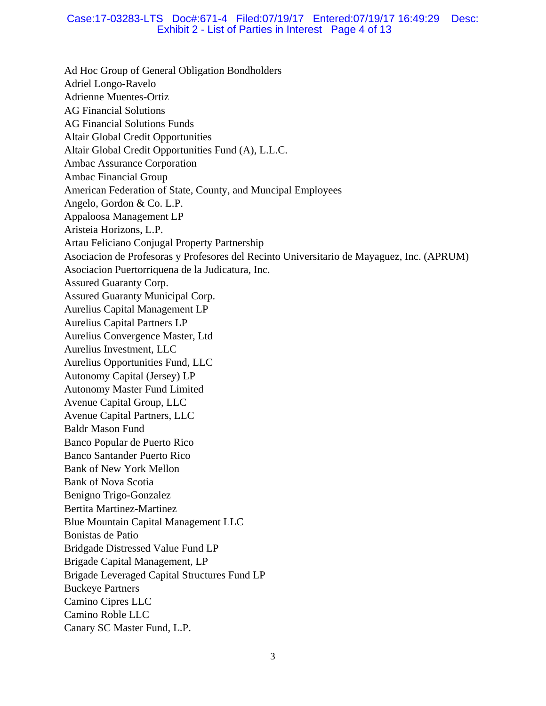## Case:17-03283-LTS Doc#:671-4 Filed:07/19/17 Entered:07/19/17 16:49:29 Desc: Exhibit 2 - List of Parties in Interest Page 4 of 13

Ad Hoc Group of General Obligation Bondholders Adriel Longo-Ravelo Adrienne Muentes-Ortiz AG Financial Solutions AG Financial Solutions Funds Altair Global Credit Opportunities Altair Global Credit Opportunities Fund (A), L.L.C. Ambac Assurance Corporation Ambac Financial Group American Federation of State, County, and Muncipal Employees Angelo, Gordon & Co. L.P. Appaloosa Management LP Aristeia Horizons, L.P. Artau Feliciano Conjugal Property Partnership Asociacion de Profesoras y Profesores del Recinto Universitario de Mayaguez, Inc. (APRUM) Asociacion Puertorriquena de la Judicatura, Inc. Assured Guaranty Corp. Assured Guaranty Municipal Corp. Aurelius Capital Management LP Aurelius Capital Partners LP Aurelius Convergence Master, Ltd Aurelius Investment, LLC Aurelius Opportunities Fund, LLC Autonomy Capital (Jersey) LP Autonomy Master Fund Limited Avenue Capital Group, LLC Avenue Capital Partners, LLC Baldr Mason Fund Banco Popular de Puerto Rico Banco Santander Puerto Rico Bank of New York Mellon Bank of Nova Scotia Benigno Trigo-Gonzalez Bertita Martinez-Martinez Blue Mountain Capital Management LLC Bonistas de Patio Bridgade Distressed Value Fund LP Brigade Capital Management, LP Brigade Leveraged Capital Structures Fund LP Buckeye Partners Camino Cipres LLC Camino Roble LLC Canary SC Master Fund, L.P.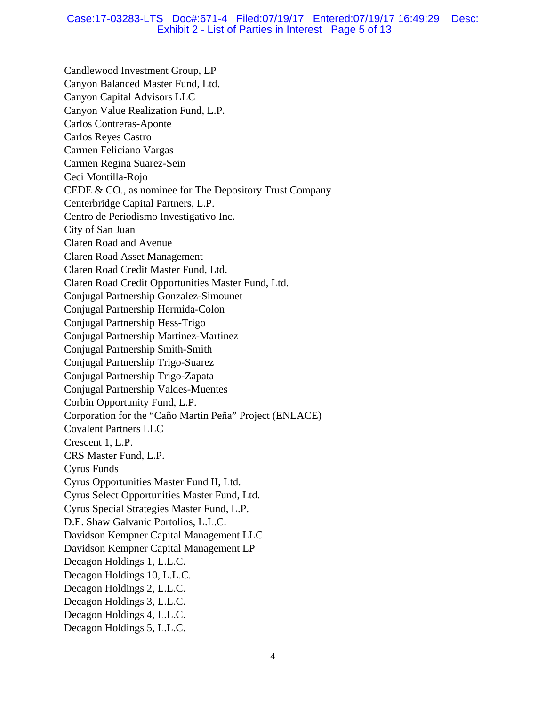## Case:17-03283-LTS Doc#:671-4 Filed:07/19/17 Entered:07/19/17 16:49:29 Desc: Exhibit 2 - List of Parties in Interest Page 5 of 13

Candlewood Investment Group, LP Canyon Balanced Master Fund, Ltd. Canyon Capital Advisors LLC Canyon Value Realization Fund, L.P. Carlos Contreras-Aponte Carlos Reyes Castro Carmen Feliciano Vargas Carmen Regina Suarez-Sein Ceci Montilla-Rojo CEDE & CO., as nominee for The Depository Trust Company Centerbridge Capital Partners, L.P. Centro de Periodismo Investigativo Inc. City of San Juan Claren Road and Avenue Claren Road Asset Management Claren Road Credit Master Fund, Ltd. Claren Road Credit Opportunities Master Fund, Ltd. Conjugal Partnership Gonzalez-Simounet Conjugal Partnership Hermida-Colon Conjugal Partnership Hess-Trigo Conjugal Partnership Martinez-Martinez Conjugal Partnership Smith-Smith Conjugal Partnership Trigo-Suarez Conjugal Partnership Trigo-Zapata Conjugal Partnership Valdes-Muentes Corbin Opportunity Fund, L.P. Corporation for the "Caño Martin Peña" Project (ENLACE) Covalent Partners LLC Crescent 1, L.P. CRS Master Fund, L.P. Cyrus Funds Cyrus Opportunities Master Fund II, Ltd. Cyrus Select Opportunities Master Fund, Ltd. Cyrus Special Strategies Master Fund, L.P. D.E. Shaw Galvanic Portolios, L.L.C. Davidson Kempner Capital Management LLC Davidson Kempner Capital Management LP Decagon Holdings 1, L.L.C. Decagon Holdings 10, L.L.C. Decagon Holdings 2, L.L.C. Decagon Holdings 3, L.L.C. Decagon Holdings 4, L.L.C. Decagon Holdings 5, L.L.C.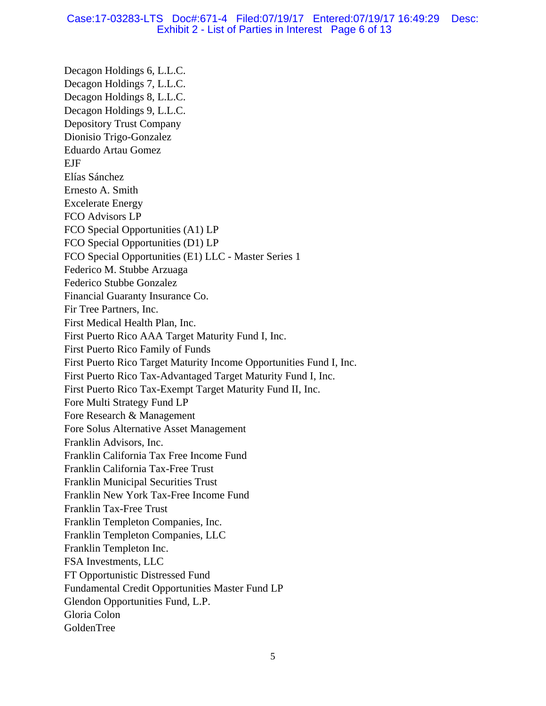## Case:17-03283-LTS Doc#:671-4 Filed:07/19/17 Entered:07/19/17 16:49:29 Desc: Exhibit 2 - List of Parties in Interest Page 6 of 13

Decagon Holdings 6, L.L.C. Decagon Holdings 7, L.L.C. Decagon Holdings 8, L.L.C. Decagon Holdings 9, L.L.C. Depository Trust Company Dionisio Trigo-Gonzalez Eduardo Artau Gomez EJF Elías Sánchez Ernesto A. Smith Excelerate Energy FCO Advisors LP FCO Special Opportunities (A1) LP FCO Special Opportunities (D1) LP FCO Special Opportunities (E1) LLC - Master Series 1 Federico M. Stubbe Arzuaga Federico Stubbe Gonzalez Financial Guaranty Insurance Co. Fir Tree Partners, Inc. First Medical Health Plan, Inc. First Puerto Rico AAA Target Maturity Fund I, Inc. First Puerto Rico Family of Funds First Puerto Rico Target Maturity Income Opportunities Fund I, Inc. First Puerto Rico Tax-Advantaged Target Maturity Fund I, Inc. First Puerto Rico Tax-Exempt Target Maturity Fund II, Inc. Fore Multi Strategy Fund LP Fore Research & Management Fore Solus Alternative Asset Management Franklin Advisors, Inc. Franklin California Tax Free Income Fund Franklin California Tax-Free Trust Franklin Municipal Securities Trust Franklin New York Tax-Free Income Fund Franklin Tax-Free Trust Franklin Templeton Companies, Inc. Franklin Templeton Companies, LLC Franklin Templeton Inc. FSA Investments, LLC FT Opportunistic Distressed Fund Fundamental Credit Opportunities Master Fund LP Glendon Opportunities Fund, L.P. Gloria Colon GoldenTree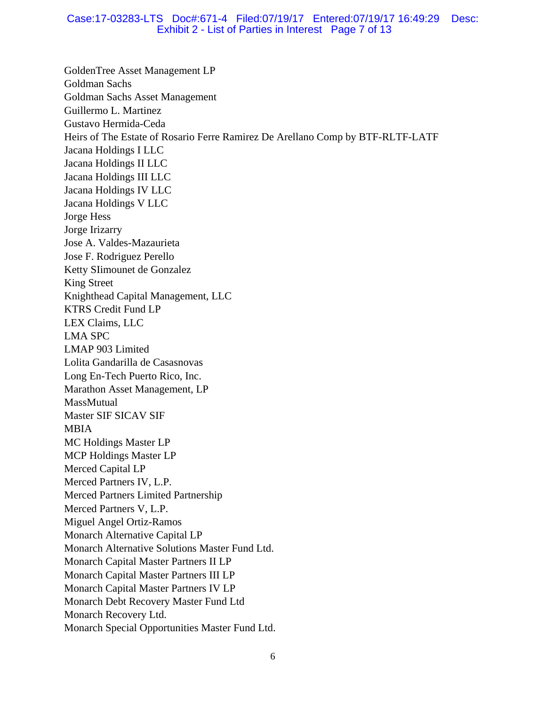## Case:17-03283-LTS Doc#:671-4 Filed:07/19/17 Entered:07/19/17 16:49:29 Desc: Exhibit 2 - List of Parties in Interest Page 7 of 13

GoldenTree Asset Management LP Goldman Sachs Goldman Sachs Asset Management Guillermo L. Martinez Gustavo Hermida-Ceda Heirs of The Estate of Rosario Ferre Ramirez De Arellano Comp by BTF-RLTF-LATF Jacana Holdings I LLC Jacana Holdings II LLC Jacana Holdings III LLC Jacana Holdings IV LLC Jacana Holdings V LLC Jorge Hess Jorge Irizarry Jose A. Valdes-Mazaurieta Jose F. Rodriguez Perello Ketty SIimounet de Gonzalez King Street Knighthead Capital Management, LLC KTRS Credit Fund LP LEX Claims, LLC LMA SPC LMAP 903 Limited Lolita Gandarilla de Casasnovas Long En-Tech Puerto Rico, Inc. Marathon Asset Management, LP **MassMutual** Master SIF SICAV SIF MBIA MC Holdings Master LP MCP Holdings Master LP Merced Capital LP Merced Partners IV, L.P. Merced Partners Limited Partnership Merced Partners V, L.P. Miguel Angel Ortiz-Ramos Monarch Alternative Capital LP Monarch Alternative Solutions Master Fund Ltd. Monarch Capital Master Partners II LP Monarch Capital Master Partners III LP Monarch Capital Master Partners IV LP Monarch Debt Recovery Master Fund Ltd Monarch Recovery Ltd. Monarch Special Opportunities Master Fund Ltd.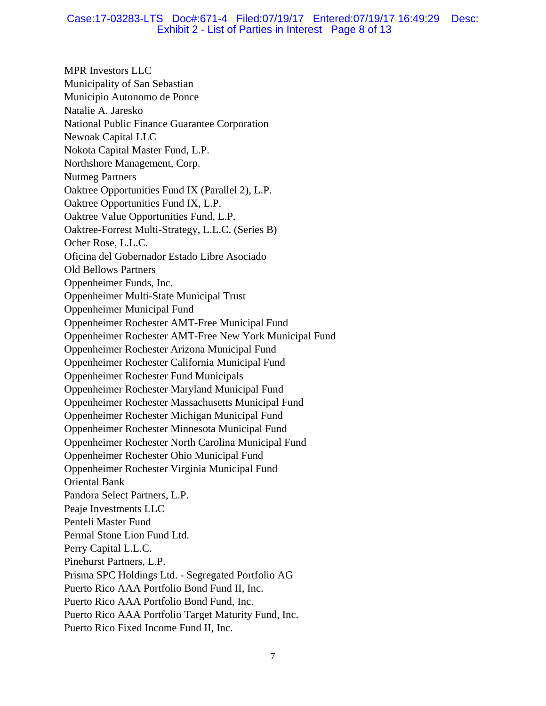## Case:17-03283-LTS Doc#:671-4 Filed:07/19/17 Entered:07/19/17 16:49:29 Desc: Exhibit 2 - List of Parties in Interest Page 8 of 13

MPR Investors LLC Municipality of San Sebastian Municipio Autonomo de Ponce Natalie A. Jaresko National Public Finance Guarantee Corporation Newoak Capital LLC Nokota Capital Master Fund, L.P. Northshore Management, Corp. Nutmeg Partners Oaktree Opportunities Fund IX (Parallel 2), L.P. Oaktree Opportunities Fund IX, L.P. Oaktree Value Opportunities Fund, L.P. Oaktree-Forrest Multi-Strategy, L.L.C. (Series B) Ocher Rose, L.L.C. Oficina del Gobernador Estado Libre Asociado Old Bellows Partners Oppenheimer Funds, Inc. Oppenheimer Multi-State Municipal Trust Oppenheimer Municipal Fund Oppenheimer Rochester AMT-Free Municipal Fund Oppenheimer Rochester AMT-Free New York Municipal Fund Oppenheimer Rochester Arizona Municipal Fund Oppenheimer Rochester California Municipal Fund Oppenheimer Rochester Fund Municipals Oppenheimer Rochester Maryland Municipal Fund Oppenheimer Rochester Massachusetts Municipal Fund Oppenheimer Rochester Michigan Municipal Fund Oppenheimer Rochester Minnesota Municipal Fund Oppenheimer Rochester North Carolina Municipal Fund Oppenheimer Rochester Ohio Municipal Fund Oppenheimer Rochester Virginia Municipal Fund Oriental Bank Pandora Select Partners, L.P. Peaje Investments LLC Penteli Master Fund Permal Stone Lion Fund Ltd. Perry Capital L.L.C. Pinehurst Partners, L.P. Prisma SPC Holdings Ltd. - Segregated Portfolio AG Puerto Rico AAA Portfolio Bond Fund II, Inc. Puerto Rico AAA Portfolio Bond Fund, Inc. Puerto Rico AAA Portfolio Target Maturity Fund, Inc. Puerto Rico Fixed Income Fund II, Inc.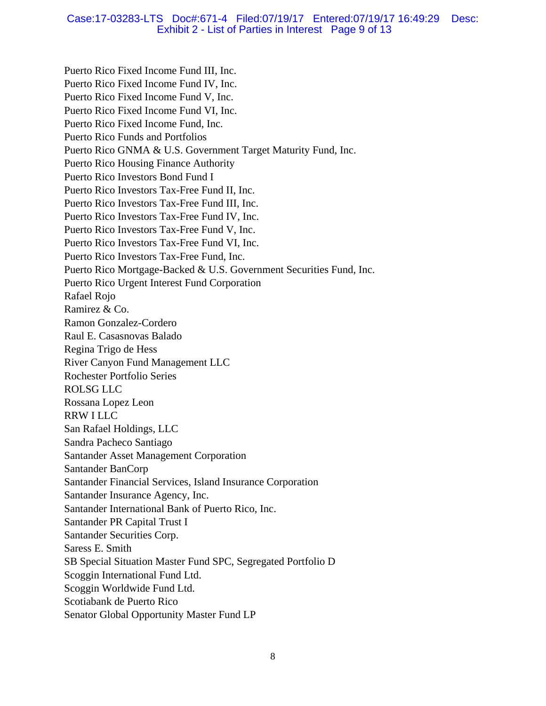## Case:17-03283-LTS Doc#:671-4 Filed:07/19/17 Entered:07/19/17 16:49:29 Desc: Exhibit 2 - List of Parties in Interest Page 9 of 13

Puerto Rico Fixed Income Fund III, Inc. Puerto Rico Fixed Income Fund IV, Inc. Puerto Rico Fixed Income Fund V, Inc. Puerto Rico Fixed Income Fund VI, Inc. Puerto Rico Fixed Income Fund, Inc. Puerto Rico Funds and Portfolios Puerto Rico GNMA & U.S. Government Target Maturity Fund, Inc. Puerto Rico Housing Finance Authority Puerto Rico Investors Bond Fund I Puerto Rico Investors Tax-Free Fund II, Inc. Puerto Rico Investors Tax-Free Fund III, Inc. Puerto Rico Investors Tax-Free Fund IV, Inc. Puerto Rico Investors Tax-Free Fund V, Inc. Puerto Rico Investors Tax-Free Fund VI, Inc. Puerto Rico Investors Tax-Free Fund, Inc. Puerto Rico Mortgage-Backed & U.S. Government Securities Fund, Inc. Puerto Rico Urgent Interest Fund Corporation Rafael Rojo Ramirez & Co. Ramon Gonzalez-Cordero Raul E. Casasnovas Balado Regina Trigo de Hess River Canyon Fund Management LLC Rochester Portfolio Series ROLSG LLC Rossana Lopez Leon RRW I LLC San Rafael Holdings, LLC Sandra Pacheco Santiago Santander Asset Management Corporation Santander BanCorp Santander Financial Services, Island Insurance Corporation Santander Insurance Agency, Inc. Santander International Bank of Puerto Rico, Inc. Santander PR Capital Trust I Santander Securities Corp. Saress E. Smith SB Special Situation Master Fund SPC, Segregated Portfolio D Scoggin International Fund Ltd. Scoggin Worldwide Fund Ltd. Scotiabank de Puerto Rico Senator Global Opportunity Master Fund LP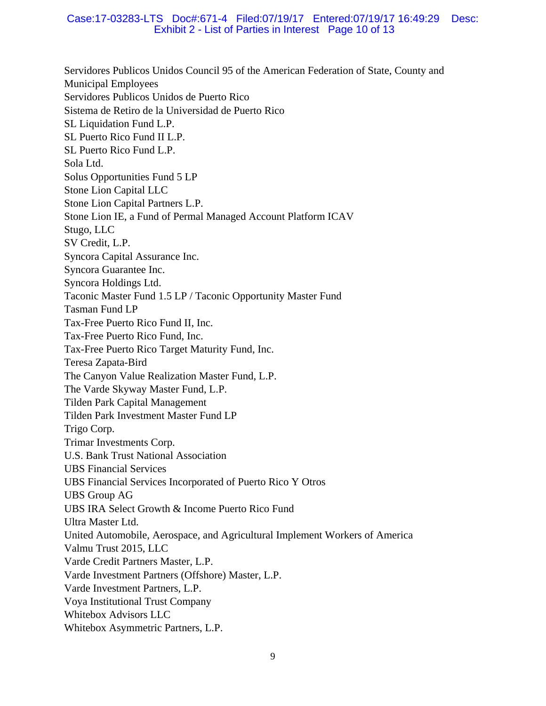## Case:17-03283-LTS Doc#:671-4 Filed:07/19/17 Entered:07/19/17 16:49:29 Desc: Exhibit 2 - List of Parties in Interest Page 10 of 13

Servidores Publicos Unidos Council 95 of the American Federation of State, County and Municipal Employees Servidores Publicos Unidos de Puerto Rico Sistema de Retiro de la Universidad de Puerto Rico SL Liquidation Fund L.P. SL Puerto Rico Fund II L.P. SL Puerto Rico Fund L.P. Sola Ltd. Solus Opportunities Fund 5 LP Stone Lion Capital LLC Stone Lion Capital Partners L.P. Stone Lion IE, a Fund of Permal Managed Account Platform ICAV Stugo, LLC SV Credit, L.P. Syncora Capital Assurance Inc. Syncora Guarantee Inc. Syncora Holdings Ltd. Taconic Master Fund 1.5 LP / Taconic Opportunity Master Fund Tasman Fund LP Tax-Free Puerto Rico Fund II, Inc. Tax-Free Puerto Rico Fund, Inc. Tax-Free Puerto Rico Target Maturity Fund, Inc. Teresa Zapata-Bird The Canyon Value Realization Master Fund, L.P. The Varde Skyway Master Fund, L.P. Tilden Park Capital Management Tilden Park Investment Master Fund LP Trigo Corp. Trimar Investments Corp. U.S. Bank Trust National Association UBS Financial Services UBS Financial Services Incorporated of Puerto Rico Y Otros UBS Group AG UBS IRA Select Growth & Income Puerto Rico Fund Ultra Master Ltd. United Automobile, Aerospace, and Agricultural Implement Workers of America Valmu Trust 2015, LLC Varde Credit Partners Master, L.P. Varde Investment Partners (Offshore) Master, L.P. Varde Investment Partners, L.P. Voya Institutional Trust Company Whitebox Advisors LLC Whitebox Asymmetric Partners, L.P.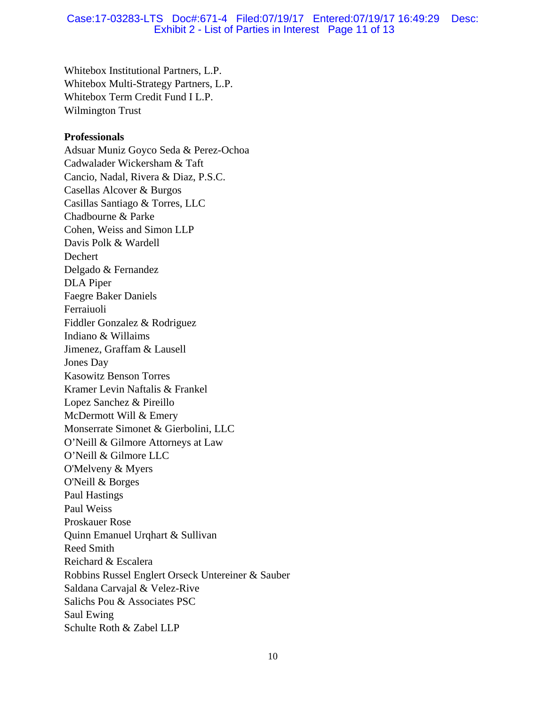### Case:17-03283-LTS Doc#:671-4 Filed:07/19/17 Entered:07/19/17 16:49:29 Desc: Exhibit 2 - List of Parties in Interest Page 11 of 13

Whitebox Institutional Partners, L.P. Whitebox Multi-Strategy Partners, L.P. Whitebox Term Credit Fund I L.P. Wilmington Trust

#### **Professionals**

Adsuar Muniz Goyco Seda & Perez-Ochoa Cadwalader Wickersham & Taft Cancio, Nadal, Rivera & Diaz, P.S.C. Casellas Alcover & Burgos Casillas Santiago & Torres, LLC Chadbourne & Parke Cohen, Weiss and Simon LLP Davis Polk & Wardell Dechert Delgado & Fernandez DLA Piper Faegre Baker Daniels Ferraiuoli Fiddler Gonzalez & Rodriguez Indiano & Willaims Jimenez, Graffam & Lausell Jones Day Kasowitz Benson Torres Kramer Levin Naftalis & Frankel Lopez Sanchez & Pireillo McDermott Will & Emery Monserrate Simonet & Gierbolini, LLC O'Neill & Gilmore Attorneys at Law O'Neill & Gilmore LLC O'Melveny & Myers O'Neill & Borges Paul Hastings Paul Weiss Proskauer Rose Quinn Emanuel Urqhart & Sullivan Reed Smith Reichard & Escalera Robbins Russel Englert Orseck Untereiner & Sauber Saldana Carvajal & Velez-Rive Salichs Pou & Associates PSC Saul Ewing Schulte Roth & Zabel LLP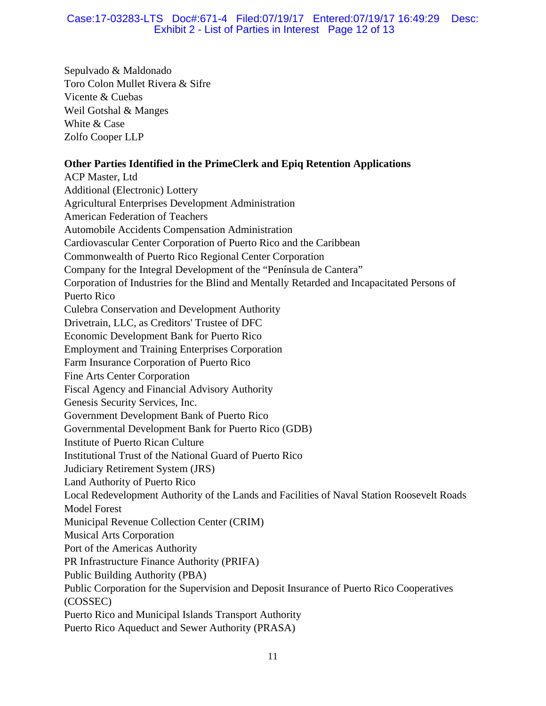# Case:17-03283-LTS Doc#:671-4 Filed:07/19/17 Entered:07/19/17 16:49:29 Desc: Exhibit 2 - List of Parties in Interest Page 12 of 13

Sepulvado & Maldonado Toro Colon Mullet Rivera & Sifre Vicente & Cuebas Weil Gotshal & Manges White & Case Zolfo Cooper LLP

# **Other Parties Identified in the PrimeClerk and Epiq Retention Applications**

ACP Master, Ltd Additional (Electronic) Lottery Agricultural Enterprises Development Administration American Federation of Teachers Automobile Accidents Compensation Administration Cardiovascular Center Corporation of Puerto Rico and the Caribbean Commonwealth of Puerto Rico Regional Center Corporation Company for the Integral Development of the "Península de Cantera" Corporation of Industries for the Blind and Mentally Retarded and Incapacitated Persons of Puerto Rico Culebra Conservation and Development Authority Drivetrain, LLC, as Creditors' Trustee of DFC Economic Development Bank for Puerto Rico Employment and Training Enterprises Corporation Farm Insurance Corporation of Puerto Rico Fine Arts Center Corporation Fiscal Agency and Financial Advisory Authority Genesis Security Services, Inc. Government Development Bank of Puerto Rico Governmental Development Bank for Puerto Rico (GDB) Institute of Puerto Rican Culture Institutional Trust of the National Guard of Puerto Rico Judiciary Retirement System (JRS) Land Authority of Puerto Rico Local Redevelopment Authority of the Lands and Facilities of Naval Station Roosevelt Roads Model Forest Municipal Revenue Collection Center (CRIM) Musical Arts Corporation Port of the Americas Authority PR Infrastructure Finance Authority (PRIFA) Public Building Authority (PBA) Public Corporation for the Supervision and Deposit Insurance of Puerto Rico Cooperatives (COSSEC) Puerto Rico and Municipal Islands Transport Authority Puerto Rico Aqueduct and Sewer Authority (PRASA)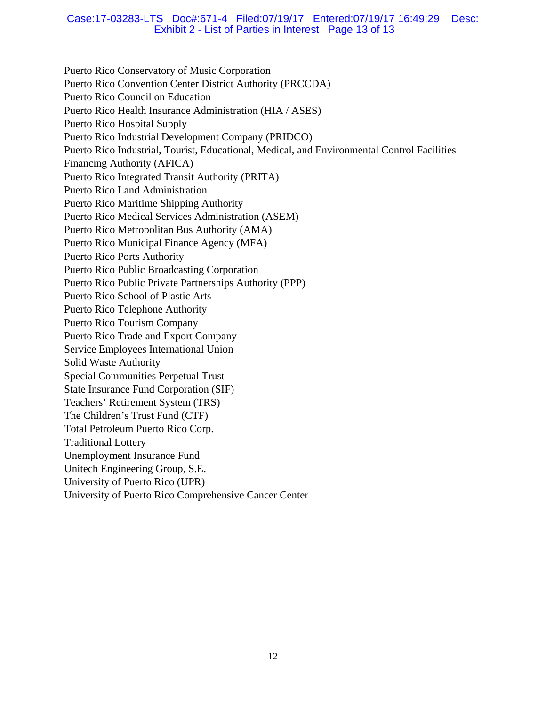## Case:17-03283-LTS Doc#:671-4 Filed:07/19/17 Entered:07/19/17 16:49:29 Desc: Exhibit 2 - List of Parties in Interest Page 13 of 13

Puerto Rico Conservatory of Music Corporation Puerto Rico Convention Center District Authority (PRCCDA) Puerto Rico Council on Education Puerto Rico Health Insurance Administration (HIA / ASES) Puerto Rico Hospital Supply Puerto Rico Industrial Development Company (PRIDCO) Puerto Rico Industrial, Tourist, Educational, Medical, and Environmental Control Facilities Financing Authority (AFICA) Puerto Rico Integrated Transit Authority (PRITA) Puerto Rico Land Administration Puerto Rico Maritime Shipping Authority Puerto Rico Medical Services Administration (ASEM) Puerto Rico Metropolitan Bus Authority (AMA) Puerto Rico Municipal Finance Agency (MFA) Puerto Rico Ports Authority Puerto Rico Public Broadcasting Corporation Puerto Rico Public Private Partnerships Authority (PPP) Puerto Rico School of Plastic Arts Puerto Rico Telephone Authority Puerto Rico Tourism Company Puerto Rico Trade and Export Company Service Employees International Union Solid Waste Authority Special Communities Perpetual Trust State Insurance Fund Corporation (SIF) Teachers' Retirement System (TRS) The Children's Trust Fund (CTF) Total Petroleum Puerto Rico Corp. Traditional Lottery Unemployment Insurance Fund Unitech Engineering Group, S.E. University of Puerto Rico (UPR) University of Puerto Rico Comprehensive Cancer Center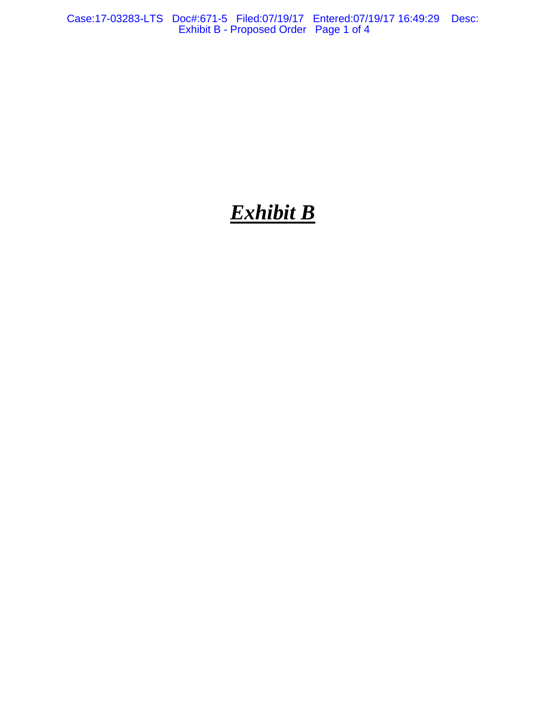Case:17-03283-LTS Doc#:671-5 Filed:07/19/17 Entered:07/19/17 16:49:29 Desc: Exhibit B - Proposed Order Page 1 of 4

# *Exhibit B*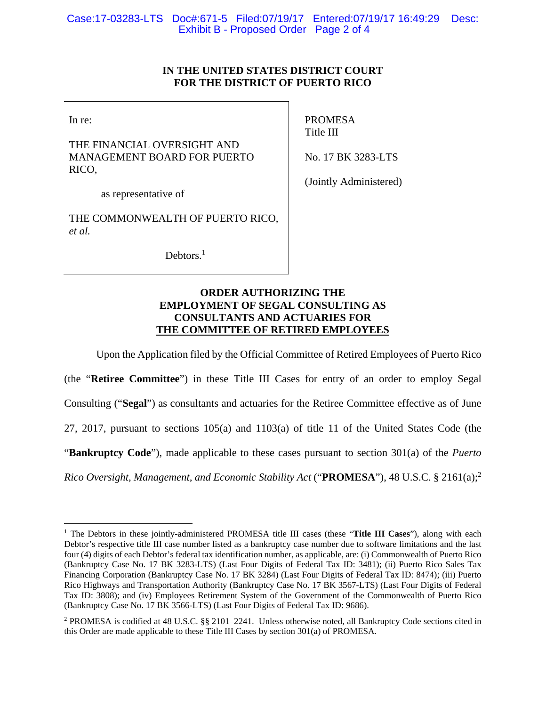# **IN THE UNITED STATES DISTRICT COURT FOR THE DISTRICT OF PUERTO RICO**

In re:

1

THE FINANCIAL OVERSIGHT AND MANAGEMENT BOARD FOR PUERTO RICO,

PROMESA Title III

No. 17 BK 3283-LTS

as representative of

THE COMMONWEALTH OF PUERTO RICO, *et al.*

Debtors.<sup>1</sup>

(Jointly Administered)

# **ORDER AUTHORIZING THE EMPLOYMENT OF SEGAL CONSULTING AS CONSULTANTS AND ACTUARIES FOR THE COMMITTEE OF RETIRED EMPLOYEES**

Upon the Application filed by the Official Committee of Retired Employees of Puerto Rico

(the "**Retiree Committee**") in these Title III Cases for entry of an order to employ Segal Consulting ("**Segal**") as consultants and actuaries for the Retiree Committee effective as of June 27, 2017, pursuant to sections 105(a) and 1103(a) of title 11 of the United States Code (the "**Bankruptcy Code**"), made applicable to these cases pursuant to section 301(a) of the *Puerto* 

*Rico Oversight, Management, and Economic Stability Act* ("**PROMESA**"), 48 U.S.C. § 2161(a);<sup>2</sup>

<sup>&</sup>lt;sup>1</sup> The Debtors in these jointly-administered PROMESA title III cases (these "Title III Cases"), along with each Debtor's respective title III case number listed as a bankruptcy case number due to software limitations and the last four (4) digits of each Debtor's federal tax identification number, as applicable, are: (i) Commonwealth of Puerto Rico (Bankruptcy Case No. 17 BK 3283-LTS) (Last Four Digits of Federal Tax ID: 3481); (ii) Puerto Rico Sales Tax Financing Corporation (Bankruptcy Case No. 17 BK 3284) (Last Four Digits of Federal Tax ID: 8474); (iii) Puerto Rico Highways and Transportation Authority (Bankruptcy Case No. 17 BK 3567-LTS) (Last Four Digits of Federal Tax ID: 3808); and (iv) Employees Retirement System of the Government of the Commonwealth of Puerto Rico (Bankruptcy Case No. 17 BK 3566-LTS) (Last Four Digits of Federal Tax ID: 9686).

<sup>&</sup>lt;sup>2</sup> PROMESA is codified at 48 U.S.C. §§ 2101–2241. Unless otherwise noted, all Bankruptcy Code sections cited in this Order are made applicable to these Title III Cases by section 301(a) of PROMESA.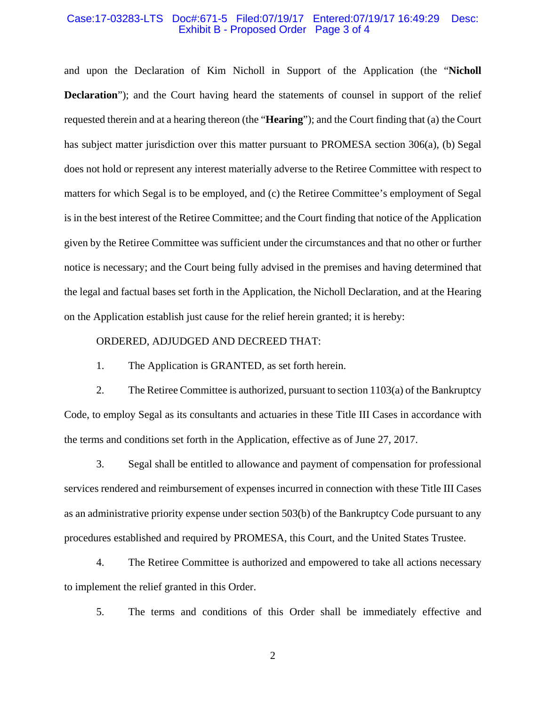#### Case:17-03283-LTS Doc#:671-5 Filed:07/19/17 Entered:07/19/17 16:49:29 Desc: Exhibit B - Proposed Order Page 3 of 4

and upon the Declaration of Kim Nicholl in Support of the Application (the "**Nicholl Declaration**"); and the Court having heard the statements of counsel in support of the relief requested therein and at a hearing thereon (the "**Hearing**"); and the Court finding that (a) the Court has subject matter jurisdiction over this matter pursuant to PROMESA section 306(a), (b) Segal does not hold or represent any interest materially adverse to the Retiree Committee with respect to matters for which Segal is to be employed, and (c) the Retiree Committee's employment of Segal is in the best interest of the Retiree Committee; and the Court finding that notice of the Application given by the Retiree Committee was sufficient under the circumstances and that no other or further notice is necessary; and the Court being fully advised in the premises and having determined that the legal and factual bases set forth in the Application, the Nicholl Declaration, and at the Hearing on the Application establish just cause for the relief herein granted; it is hereby:

### ORDERED, ADJUDGED AND DECREED THAT:

1. The Application is GRANTED, as set forth herein.

2. The Retiree Committee is authorized, pursuant to section 1103(a) of the Bankruptcy Code, to employ Segal as its consultants and actuaries in these Title III Cases in accordance with the terms and conditions set forth in the Application, effective as of June 27, 2017.

3. Segal shall be entitled to allowance and payment of compensation for professional services rendered and reimbursement of expenses incurred in connection with these Title III Cases as an administrative priority expense under section 503(b) of the Bankruptcy Code pursuant to any procedures established and required by PROMESA, this Court, and the United States Trustee.

4. The Retiree Committee is authorized and empowered to take all actions necessary to implement the relief granted in this Order.

5. The terms and conditions of this Order shall be immediately effective and

2